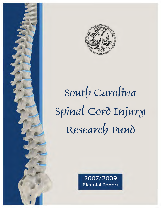

# *Soutb Carolina*  Spinal Cord Injury *Researcb FunO*

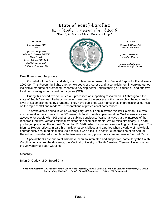# State of South Carolina

Spinal Cord Injury Research Fund Board **"Dum Spiro Spero - While I Breathe, I Hope"**

*Byron N. Bailey, MD Catherine L. Graham, MEBME Terry Peacock Phanor L.Perot, MD, PhD David Shallcross, MD W. Daniel Westerkam, MD* 



*James S. Krause, PhD Scientific Director* 

*Naren L. Banik, PhD Associate Scientific Director* 

Dear Friends and Supporters:

On behalf of the Board and staff, it is my pleasure to present this Biennial Report for Fiscal Years 2007-09. This Report highlights another two years of progress and accomplishment in carrying out our legislative mandate of promoting research to develop better understanding of, causes of, and effective treatment strategies for, spinal cord injuries (SCI).

During this period, we continued our processes of supporting research on SCI throughout the state of South Carolina. Perhaps no better measure of the success of this research is the outstanding level of accomplishments by grantees. They have published 112 manuscripts in professional journals on the topic of SCI and made 215 presentations at professional conferences.

This was also a period in which we tragically lost our administrator, Walker Coleman. He was instrumental in the success of the SCI research Fund from its implementation. Walker was a tireless advocate for people with SCI and other disabling conditions. Walker always put the interests of the research fund first, yet took minimal credit for his accomplishments. We all miss him dearly. He had just begun preparing the Annual Report for FY 07-08 when he passed away in August of last year. This Biennial Report reflects, in part, his multiple responsibilities and a period when a variety of individuals courageously assumed his duties. As a result, it was difficult to continue the tradition of an Annual Report, and we elected to combine the two years to bring you a more comprehensive Biennial Report.

Special thanks are due to all who have been so interested and supportive, particularly the South Carolina Legislature, the Governor, the Medical University of South Carolina, Clemson University, and the University of South Carolina.

Sincerely,

Brian G. Cuddy, M.D., Board Chair

*Fund Administrator: 179 Ashley Avenue, Office of the President, Medical University of South Carolina, Charleston, SC 29425 Phone: (843) 792-9387 E-mail: higerdtb@musc.edu Office: 202 Colcock Hall*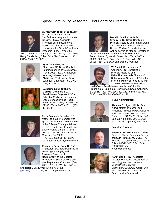## Spinal Cord Injury Research Fund Board of Directors



**BOARD CHAIR: Brian G. Cuddy, M.D.**, Charleston, SC Board Certified Neurosurgeon in private practice, Clinical Associate Professor of Neurosurgery at MUSC, and directly involved in establishing the Spinal Cord Injury Research Fund. (Term: 2009 -

2012) Charleston Neurological Associates, L.L.C. 2145 Henry Tecklenburg Drive, Suite 220, Charleston , SC 29414; (843) 723-8823



**Byron N. Bailey, M.D.**, Charleston, SC Board Certified Neurosurgeon in private practice. (Term: 2008 - 2011) Charleston Neurological Associates, L.L.C. 2145 Henry Tecklenburg Drive, Suite 220, Charleston , SC 29414; (843) 723-8823



**Catherine Leigh Graham, MEBME**, Columbia, SC. Rehabilitation Engineer, USC - School of Medicine. Interagency Office of Disability and Health, 3209 Colonial Drive, Columbia, SC 29203, (Term: 2008 - 2011); (803) 434-3189



**Terry Peacock,** Columbia, SC Mother of a family member with spinal cord injury and staff member of the Office of Minority Affairs of the SC Department of Health and Environmental Control. (Term: 2005 - 2009) 2061 Kerry Creek Dr . Marietta , GA 30060 (770) 321-9692/Cell (678) 372- 1778; terrypeacock@hotmail.com



**Phanor L. Perot, Jr, M.D., PhD.**, Charleston, SC. Board Certified in Neurological Surgery and Professor Emeritus of Neurosurgery at the Medical University of South Carolina and past Department Chairman. (Term: 2008 - 2011) 31 Wentworth Street,

Charleston , SC 29401; (843) 577-5737; pperotjr@comcast.net; FAX TO: (843) 534-0120



#### **David L. Shallcross, M.D.**,

Greenville, SC Board Certified in Physical Medicine and Rehabilitation and conducts a private practice, Upstate Medical Rehabilitation, as well as serves as Medical Director of

the inpatient rehabilitation unit at BonSecours St. Francis Health System in Greenville. (Term: 2006 - 2009) 1003 Grove Road, Suite E, Greenville , SC 29605, (864) 232-8417 ChinkapinSC@aol.com



#### **W. Daniel Westerkam, M. D.**,

Columbia, SC. Specialist in Physical Medicine and Rehabilitation who is Director of Rehabilitative Services at Palmetto Richland Memorial Hospital as well as Associate Medical Director at

HealthSouth Rehabilitation Hospital in Columbia. (Term: 2006 - 2009) 296 Sheringham Road, Columbia, SC 29212, (803) 401-1369/401-1404 office (803) 781- 6988 home FAX TO: (803) 401-1178



#### **Fund Administrator**

**Thomas B. Higerd, Ph.D.** Fund Administrator, Professor and Associate Provost, MUSC. Colcock Hall, 202 Ashley Ave. MSC 002, Charleston, SC 29425; Office: 843- 792-9387; Fax: 843 792-511792- 5110. Email: higerdtb@musc.edu



#### **Scientific Directors**

**James S. Krause, PhD.** Associate Dean for Clinical Research College of Health Professions, MUSC. PO Box 250700, Charleston, SC 29425 Office: 843-792-1337 Fax: 843- 792-8060 Email: krause@musc.edu



**Naren Banik, PhD.** Associate Director. Professor, Department of Neurology and Neuroscience, MUSC PO Box 250606, Charleston, SC 29425. Office: 843- 792-7594 Fax: 843-792-5137 Email: baniknl@musc.edu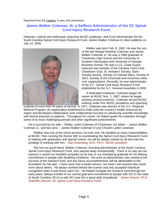Reprinted from the Catalyst, in part, with permission.

#### **James Walker Coleman, III: a Selfless Administrator of the SC Spinal Cord Injury Research Fund**

Historian, cultural arts enthusiast, long-time MUSC employee, and Fund Administrator for the South Carolina Spinal Cord Injury Research Fund, James Walker Coleman III, died suddenly on July 14, 2008.



Walker was born Feb. 8, 1942. He was the son of the late Margot Hamilton Coleman and James Walker Coleman Jr. He was a 1960 graduate of Charleston High School and the University of Southern Mississippi and University of Georgia Business School. He was a U.S. Coast Guard reservist and member of the Carolina Yacht Club, Charleston Club, St. Andrew's Society, Saint Cecelia Society, Society of Colonial Wars, Society of 1812, Society of the Cincinnati and numerous other civic organizations. Recently, he was administrator of the S.C. Spinal Cord Injury Research Fund established by the S.C. General Assembly in 2000.

A dedicated employee, Coleman began his career at MUSC Nov. 1, 1967, where he began working several positions. Coleman served MUSC working under four MUSC presidents and spanning

a period of more than 40 years of service. In 1971, Coleman was director of the S.C. Regional Medical Program, an organization established to help unite the country's health resources by region and developed collaborative work relationships focused on advancing scientific knowledge and clinical practices to patients. Throughout his career, he helped guide the institution through some of its most challenging periods and other significant achievements.

He is survived by his wife -- Debby Larkin Coleman of Charleston, his father -- James Walker Coleman Jr., and two sons -- James Walker Coleman IV and Chisolm Larkin Coleman.

"Walker was one of the nicest persons I've ever met. He handled so many responsibilities at MUSC, from running the Rumor Mill, to coordinating the Spinal Cord Injury Research Fund, to helping with graduation and special events. He will be deeply missed by all who had the privilege of working with him." *Ray Greenberg, M.D., Ph.D., MUSC president*

"We lost our good friend, Walker Coleman, founding administrator of the South Carolina Spinal Cord Injury Research Fund, who passed away unexpectedly. There is no way we can express in words our heartfelt sympathy at his loss or our everlasting gratitude for his lifelong commitment to people with disabling conditions. His work as administrator was central to the success of the research fund, and any future accomplishments will be attributable to the foundation he has laid. I have never met a kinder person, nor have I met anyone who cared more about others. He always worked behind-the-scenes and only accepted individual recognition when it was thrust upon him. He helped navigate the research fund through the early years, always mindful of our central goal and commitment to people with SCI in the state of South Carolina. All of us with SCI owe him a great debt of gratitude." *James Krause, Ph.D., Scientific Director, SC Spinal Cord Injury Research Fund*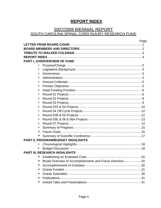# **REPORT INDEX**

# 2007/2009 BIENNIAL REPORT

# SOUTH CAROLINA SPINAL CORD INJURY RESEARCH FUND

|           |                                                               | Page |
|-----------|---------------------------------------------------------------|------|
|           |                                                               |      |
|           |                                                               |      |
|           |                                                               |      |
|           |                                                               |      |
|           | PART I, OVERVERVIEW OF FUND                                   |      |
|           |                                                               |      |
|           |                                                               |      |
| $\bullet$ |                                                               |      |
|           |                                                               |      |
|           |                                                               |      |
| $\bullet$ |                                                               |      |
|           |                                                               |      |
| ٠         |                                                               |      |
| ٠         |                                                               |      |
| $\bullet$ |                                                               |      |
| $\bullet$ |                                                               |      |
|           |                                                               |      |
| $\bullet$ |                                                               |      |
|           |                                                               |      |
|           |                                                               |      |
|           |                                                               |      |
|           |                                                               |      |
|           | PART II, PROGRAM/BUDGET HIGHLIGHTS                            |      |
| $\bullet$ |                                                               |      |
|           |                                                               |      |
|           | <b>PART III, RESEARCH HIGHLIGHTS</b>                          |      |
|           |                                                               |      |
| ٠         | Broad Overview of Accomplishments and Future Direction-<br>20 |      |
| ٠         |                                                               |      |
|           |                                                               |      |
|           |                                                               |      |
| ٠         |                                                               |      |
|           |                                                               |      |
|           |                                                               |      |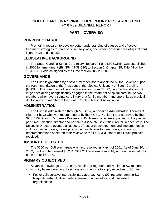#### **SOUTH CAROLINA SPINAL CORD INJURY RESEARCH FUND FY 07-09 BIENNIAL REPORT**

#### **PART I, OVERVIEW**

#### **PURPOSE/CHARGE**

Promoting research to develop better understanding of causes and effective treatment strategies for paralysis, sensory loss, and other consequences of spinal cord injury (SCI) and disease.

#### **LEGISLATIVE BACKGROUND**

The South Carolina Spinal Cord Injury Research Fund (SCSCIRF) was established in 2000 by amendment (Bill S54 44-38-510) to Section 2, Chapter 38, Title 44 of the 1976 S.C. Code as signed by the Governor on July 20, 2000.

#### **GOVERNANCE**

The Fund is governed by a seven member Board appointed by the Governor upon the recommendation of the President of the Medical University of South Carolina (MUSC). It is comprised of two medical doctors from MUSC; two medical doctors at large specializing or significantly engaged in the treatment of spinal cord injury; two members who have a spinal cord injury or a family member; and one at large medical doctor who is a member of the South Carolina Medical Association.

#### **ADMINISTRATION**

The Fund is administered through MUSC by a part-time Administrator (Thomas B. Higerd, Ph.D.) who was recommended by the MUSC President and approved by the SCSCIRF Board. Dr. James Krause and Dr. Naren Banik are appointed to the post of part-time Scientific Director and part-time Associate Scientific Director, respectively. The Scientific Directors oversee all aspects of research development and implementation including setting goals, developing project invitations to meet goals, and making recommendations based on their reviews to the SCSCIRF Board of all such projects received.

## **AMOUNT COLLECTED**

The \$100 per DUI surcharges was first received in March of 2001. As of June 30, 2009, the Fund had raised \$6,234,704.82. The average monthly amount collected has been about \$61,000.

#### **PRIMARY OBJECTIVES**

Advance knowledge of SCI injury repair and regeneration within the SC research community by encouraging physicians and scientists to apply expertise to SCI field.

• Foster collaborative interdisciplinary approaches to SCI research among SC hospitals, rehabilitative centers, research universities, and interested organizations.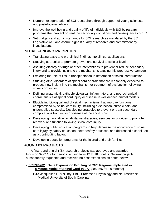- Nurture next generation of SCI researchers through support of young scientists and post-doctoral fellows.
- Improve the well-being and quality of life of individuals with SCI by research programs that prevent or treat the secondary conditions and consequences of SCI.
- Set budgets and administer funds for SCI research as mandated by the SC Legislative Act, and assure highest quality of research and commitment by investigators.

## **INITIAL FUNDING PRIORITIES**

- Translating basic and pre-clinical findings into clinical applications.
- Studying strategies to promote growth and survival at cellular level.
- Assuring efficacy of drugs or other interventions to prevent or reduce secondary injury and to provide insight to the mechanisms causing this progressive damage.
- Exploring the role of tissue transplantation in restoration of spinal cord function.
- Studying other disorders of spinal cord or brain that are reasonably expected to produce new insight into the mechanism or treatment of dysfunction following spinal cord injury.
- Defining anatomical, pathophysiological, inflammatory, and neurochemical characteristics of spinal cord injury or disease in well defined animal models.
- Elucidating biological and physical mechanisms that improve functions compromised by spinal cord injury, including dysfunction, chronic pain, and uncontrolled spasticity. Developing strategies to prevent or treat secondary complications from injury or disease of the spinal cord.
- Developing innovative rehabilitative strategies, services, or priorities to promote recovery and function following spinal cord injury.
- Developing public education programs to help decrease the occurrence of spinal cord injury by safety education, better safety practices, and decreased alcohol use as a contributing factor.
- Developing education programs for the injured and their families.

## **ROUND 01 PROJECTS**

A first round of eight (8) research projects was approved and awarded funds on 07/01/02 for periods ranging from 12 to 18 months. Several projects subsequently requested and received no-cost extensions as noted below.

#### • **SCIRF0202 Gene Expression Profiling of CNS Regions Implicated in a Mouse Model of Spinal Cord Injury** {\$85,466 for 18 months}

**P.I.:** Jacqueline F. McGinty, PhD, Professor, Physiology and Neuroscience, Medical University of South Carolina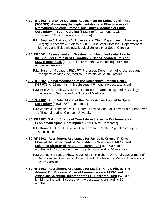- **SCIRF 0302 Statewide Outcome Assessment for Spinal Cord Injury (SOASCI): Assessing the Implementation and Effectiveness of Methylprednisoleone Protocol and Other Outcomes of Spinal Cord Injury In South Carolina** {\$123,349 for 12 months, with subsequent 12 month no-cost extension}
	- **P.I.:** Stephen J. Haines, MD, Professor and Chair, Department of Neurological Surgery, Anbesaw W. Selassie, DrPH., Assistant Professor, Department of Biometry and Epidemiology, Medical University of South Carolina
- **SCIRF 0602 Assessment and Treatment of Musculoskeletal Pain in the Shoulder Girdle in SCI Through Surface-Recorded EMG and EMG Biofeedback** {\$91,990 for 18 months, with subsequent 6 month no-cost extension }

**P.I.:** Susan J. Middaugh, PhD, PT, Professor, Department of Anesthesia and Perioperative Medicine, Medical University of South Carolina

- **SCIRF 0802 Spinal Modulation of the Nociceptive Pressor Reflex** {\$87,978 for 18 months, with subsequent 6 month no-cost extension}
	- **P.I.:** Britt Wilson, PhD., Associate Professor, Pharmacology and Physiology, University of South Carolina School of Medicine.
- **SCIRF 1102 An In Vitro Model of the Reflex Arc as Applied to Spinal Cord Injury** {\$100,252 for 18 months}
	- **P.I.:** James J. Hickman, PhD., Hunter Endowed Chair of Biomaterials, Department of Bioengineering, Clemson University
- **SCIRF 1202 Taking Charge of Your Life"—Statewide Conference for People With Spinal Core Injuries** {\$29,476 for 12 months}
	- **P.I.:** Kermit L. Short, Executive Director, South Carolina Spinal Cord Injury Association
- **SCIRF 1302 Recruitment Assistance for James S. Krause, PhD as Chair of the Department of Rehabilitative Sciences at MUSC and Scientific Director of the SCI Research Fund {\$125,000 for 12** months, with 5 subsequent no-cost extensions adding 60 months}
	- **P.I.:** James S. Krause, PhD., (& Danielle N. Ripich, PhD.), Chair, Department of Rehabilitative Sciences, College of Health Professions, Medical University of South Carolina
- **SCIRF 1402 Recruitment Assistance for Mark S. Kindy, PhD as The Admiral Pihl Endowed Chair of Neuroscience at MUSC and Associate Scientific Director of the SCI Research Fund** {\$75,000 for 12 months, with 3 subsequent no-cost extensions adding 36 months}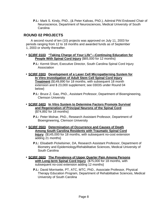**P.I.:** Mark S. Kindy, PhD., (& Peter Kalivas, PhD.), Admiral Pihl Endowed Chair of Neuroscience, Department of Neurosciences, Medical University of South Carolina

#### **ROUND 02 PROJECTS**

A second round of ten (10) projects was approved on July 11, 2003 for periods ranging from 12 to 18 months and awarded funds as of September 1, 2003 or shortly thereafter.

- **SCIRF 0103 "Taking Charge of Your Life"—Continuing Education for People With Spinal Cord Injury** {\$65,000 for 12 months}
	- **P.I.:** Kermit Short, Executive Director, South Carolina Spinal Cord Injury Association
- **SCIRF 0303 Development of a Laser Cell Micropatterning System for In Vitro Investigation of Adult Stem Cell Spinal Cord Injury Treatment** {\$149,890 for 18 months, with subsequent 18 month extension and \$ 23,000 supplement; see 0303S under Round 04 below}
	- **P.I.:** Bruce Z. Gao, PhD., Assistant Professor, Department of Bioengineering, Clemson University
- **SCIRF 0403 In Vitro System to Determine Factors Promote Survival and Regeneration of Principal Neurons of the Spinal Cord** {\$74,892 for 18 months}
	- **P.I.:** Peter Molnar, PhD., Research Assistant Professor, Department of Bioengineering, Clemson University
- **SCIRF 0503 Determination of Occurrence and Causes of Death Among South Carolina Residents with Traumatic Spinal Cord Injury** {\$145,000 for 18 months, with subsequent no-cost extension adding 21 months}
	- **P.I.:** Elisabeth Pickelsimer, DA, Research Assistant Professor, Department of Biometry and Epidemiology/Rehabilitative Sciences, Medical University of South Carolina
- **SCIRF 0603 The Prevalence of Upper Quarter Pain Among Persons with Long-term Spinal Cord Injury** {\$75,000 for 18 months, with subsequent no-cost extension adding 12 months}
	- **P.I.:** David Morrisette, PT, ATC, MTC, PhD., Associate Professor, Physical Therapy Education Program, Department of Rehabilitative Sciences, Medical University of South Carolina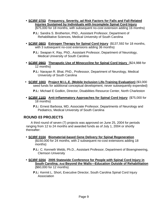• **SCIRF 0703 Frequency, Severity, ad Risk Factors for Falls and Fall-Related Injuries Sustained by Individuals with Incomplete Spinal Cord Injury** 

{\$75,000 for 18 months, with subsequent no-cost extension adding 16 months}

**P.I.:** Sandra S. Brotherton, PhD., Assistant Professor, Department of Rehabilitative Sciences, Medical University of South Carolina

• **SCIRF 0803 Estrogen Therapy for Spinal Cord Injury** {\$137,592 for 18 months, with 3 subsequent no-cost extensions adding 36 months}

**P.I.:** Swapan K. Ray, PhD., Assistant Professor, Department of Neurology, Medical University of South Carolina

• **SCIRF 0903 Theraputic Use of Minocycline for Spinal Cord Injury** {\$24,988 for 12 months}

**P.I.:** Narayan R. Bhat, PhD., Professsor, Department of Neurology, Medical University of South Carolina

• **SCIRF 1003 Project M.I.L.E. (Mobile Inclusion Life-Training Evaluation)** {\$3,000 seed funds for additional conceptual development, never subsequently expended}

**P.I.:** Michael E Godkin, Director, Disabilities Resource Center, North Charleston

- **SCIRF 1103 Anti-inflammatory Approaches for Spinal Cord Injury** {\$75,000 for 18 months}
	- **P.I.:** Ernest Barbosa, MD, Associate Professor, Departments of Neurology and Pediatrics, Medical University of South Carolina

#### **ROUND 03 PROJECTS**

A third round of seven (7) projects was approved on June 25, 2004 for periods ranging from 12 to 24 months and awarded funds as of July 1, 2004 or shortly thereafter:

• **SCIRF 0104 Biomaterial-based Gene Delivery for Spinal Regeneration** {\$150,000 for 24 months, with 2 subsequent no-cost extensions adding 18 months}

**P.I.:** C. Kenneth Webb, Ph.D., Assistant Professor, Department of Bioengineering, Clemson University

- **SCIRF 0204 2005 Statewide Conference for People with Spinal Cord Injury in South Carolina; And Beyond the Walls—Education Outside of Rehabilitation**  {\$60,000 for 12 months}
	- **P.I.:** Kermit L. Short, Executive Director, South Carolina Spinal Cord Injury Association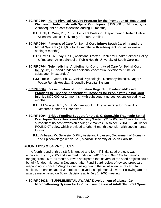- **SCIRF 0304 Home Physical Activity Program for the Promotion of Health and Wellness in Individuals with Spinal Cord Injury** {\$150,000 for 24 months, with 2 subsequent no-cost extension adding 16 months}
	- **P.I.:** Holly H. Wise, PT, Ph.D., Assistant Professor, Department of Rehabilitative Sciences, Medical University of South Carolina
- **SCIRF 0604 Patterns of Care for Spinal Cord Injury: South Carolina and the Model Systems** {\$61,632 for 12 months, with subsequent no-cost extension adding 6 months}
	- **P.I.:** David E. Murday, Ph.D., Assistant Director, Center for Health Services Policy & Research Arnold School of Public Health, University of South Carolina
- **SCIRF 0704 Telemedicine: A Lifeline for Continuity of Care for Spinal Cord Injury** {\$3,000 seed funds for additional conceptual development, never subsequently expended}
	- **P.I.:** Tracie L. Mertz, Ph.D., Clinical Psychologist, Neuropsychologist, Roger C. Peace Rehab Hospital, Greenville Hospital System
- **SCIRF 0804 Dissemination of Information Regarding Evidenced-Based Practices to Enhance Independent Lifestyles for People with Spinal Cord Injuries** {\$70,000 for 24 months , with subsequent no-cost extension adding 12 months}
	- **P.I.:** Jill Monger, P.T., MHS; Michael Godkin, Executive Director, Disability Resource Center of Charleston
- **SCIRF 1004 Bridge Funding Support for the S. C. Statewide Traumatic Spinal Cord Injury Surveillance and Registry System** {\$102,000 for 24 months, with subsequent no-cost extension adding 12 months—also see SCIRF 1004E under ROUND 07 below which provided another 6 month extension with supplemental funds}
	- **P.I.:** Anbesaw W. Selassie, DrPH., Assistant Professor, Department of Biometry and Epidemiology/Rehab. Sci., Medical University of South Carolina

## **ROUND 02S & 04 PROJECTS**

A fourth round of three (3) fully funded and four (4) initial seed projects was approved July 01, 2005 and awarded funds on 07/01/05 and 09/01/02 for periods ranging from 3.5 to 24 months. It was anticipated that several of the seed projects could be fully funded mid-year in December after Fund Board review of revised proposals responding to concerns/suggestions arising during the initial scientific review. In addition, an earlier Round 02 project received a supplemental award. Following are the awards made based on Board decisions at its July 1, 2005 meeting:

#### • **SCIRF 0303S (SUPPLEMENTAL AWARD) Development of a Laser Cell Micropatterning System for In Vitro Investigation of Adult Stem Cell Spinal**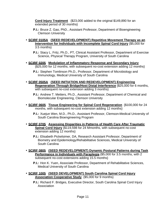**Cord Injury Treatment** {\$23,000 added to the original \$149,890 for an extended period of 30 months}

- **P.I.:** Bruce Z. Gao, PhD., Assistant Professor, Department of Bioengineering Clemson University
- **SCIRF 0105A (SEED REDEVELOPMENT) Repetitive Movement Therapy as an Intervention for Individuals with Incomplete Spinal Cord Injury** {\$5,000 for 3.5 months}

**P.I.:** Stacy L. Fritz, Ph.D., PT, Clinical Assistant Professor, Department of Exercise Science, Physical Therapy Program, University of South Carolina

• **SCIRF 0205 Modulation of Inflammatory Response and Secondary Injury** {\$25,000 for 12 months, with subsequent no-cost extension adding 12 months}

**P.I.:** Stephen Tomlinson Ph.D., Professor, Department of Microbiology and Immunology, Medical University of South Carolina

- **SCIRF 0505A (SEED INITIATION AND REDEVELOPMENT) Engineering Regeneration Through Bridge/Host Distal Interference** {\$25,000 for 6 months, with subsequent no-cost extension adding 3 months}
	- **P.I.:** Andrew T. Metters, Ph.D., Assistant Professor, Department of Chemical and Biomolecular Engineering, Clemson University
- **SCIRF 0605 Tissue Engineering for Spinal Cord Regeneration** {\$100,000 for 24 months, with subsequent no-cost extension adding 12 months}

**P.I.:** Xuejun Wen, M.D., Ph.D., Assistant Professor, Clemson**-**Medical University of South Carolina Bioengineering Program

• **SCIRF 0705 Assessing Disparities in Patterns of Health Care After Traumatic Spinal Cord Injury** {\$119,598 for 24 Mmonths, with subsequent no-cost extension adding 12 months}

**P.I.:** Elisabeth Pickelsimer, DA, Research Assistant Professor, Department of Biometry and Epidemiology/Rehabilitative Sciences, Medical University of South Carolina

• **SCIRF 0805 (SEED REDEVELOPMENT) Dynamic Postural Patterns during Task Performance in Individuals with Paraplegia** {\$5,000 for 3.5 months, with 2 subsequent no-cost extensions adding 15.5 months}

**P.I.:** Hon K. Yuen, Associate Professor, Department of Rehabilitative Sciences, Medical University of South Carolina

- **SCIRF 1005 (SEED DEVELOPMENT) South Carolina Spinal Cord Injury Association Cooperative Study** {\$5,000 for 9 months}
	- **P.I.:** Richard F. Bridges, Executive Director, South Carolina Spinal Cord Injury Association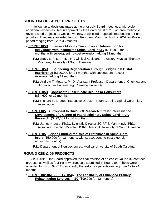## **ROUND 04 OFF-CYCLE PROJECTS**

In follow-up to decisions made at the prior July Board meeting, a mid-cycle additional review resulted in approval by the Board on 01/27/06 of three mid-cycle revised seed projects as well as two new unsolicited proposals responding to Fund priorities. They were awarded funds in February, March, or April of 2007 for Project period ranging from 12 to 36 months.

- **SCIRF 0105B Intensive Mobility Training as an Intervention for Individuals with Incomplete Spinal Cord Injury** {\$119,829 for 24 months, with subsequent no-cost extension adding 12 months}
	- **P.I.:** Stacy L. Fritz, Ph.D., PT, Clinical Assistant Professor, Physical Therapy Program, University of South Carolina
- **SCIRF 0505B Engineering Regeneration Through Bridge/Host Distal Interference** {\$120,000 for 24 months, with subsequent no-cost extension adding 11 months}
	- **P.I.:** Andrew T. Metters, Ph.D., Assistant Professor, Department of Chemical and Biomolecular Engineering, Clemson University
- **SCIRF 1005B Contract to Disseminate Results to Consumers** {\$34,602 for 12 months}
	- **P.I.:** Richard F. Bridges, Executive Director, South Carolina Spinal Cord Injury Association
- **SCIRF 1105 A Proposal to Build SCI Research Infrastructure via the Development of** *a* **Center of Interdisciplinary Spinal Cord Injury Research** {\$499,309 for 36 months}
	- **P.I.:** James Krause, Ph.D., Scientific Director SCIRF & Mark Kindy, PhD, Associate Scientific Director SCIRF, Medical University of South Carolina
- **SCIRF 1205 Bridge Funding for Role of Proteinase in Spinal Cord Injury** {\$50,000 for 12 months, with subsequent no-cost extension adding 14 months}
	- **P.I.:** Department of Neurosciences, Medical University of South Carolina

#### **ROUND 02B & 05 PROJECTS**

On 06/09/06 the Board approved the final revision of an earlier Round 02 contract proposal as well as four (4) new proposals submitted in Round 05. These were awarded funds on 07/01/06 or shortly thereafter for periods ranging from 12 to 24 months.

• **SCIRF 0102B(REVISED 2005)b The Feasibility of Enhanced Primary Rehabilitation Services in SC** {\$99,209 for 12 months}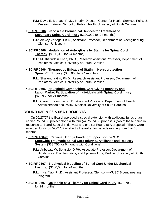**P.I.:** David E. Murday, Ph.D., Interim Director, Center for Health Services Policy & Research, Arnold School of Public Health, University of South Carolina

#### • **SCIRF 0206 Nanoscale Biomedical Devices for Treatment of Secondary Spinal Cord Injury** {\$100,000 for 24 months}

**P.I.:** Alexey Vertegel Ph.D., Assistant Professor, Department of Bioengineering, Clemson University

#### • **SCIRF 0406 Modulation of Astrogliosis by Statins for Spinal Cord Therapy** {\$100,000 for 24 months}

**P.I.:** Mushfiquddin Khan, Ph.D., Research Assistant Professor, Department of Pediatrics, Medical University of South Carolina

#### • **SCIRF 0506 Therapeutic Efficacy of Statin in Neuroprotection in Spinal Cord Injury** {\$80,000 for 24 months}

**P.I.:** Shailendra Giri, Ph.D., Research Assistant Professor, Department of Pediatrics, Medical University of South Carolina

#### • **SCIRF 0606 Household Composition, Care Giving Intensity and Labor Market Participation of Individuals with Spinal Cord Injury** {\$79,955 for 24 months}

**P.I.:** Clara E. Dismuke, Ph.D., Assistant Professor, Department of Health Administration and Policy, Medical University of South Carolina

## **ROUND 03E & 06 & 06A PROJECTS**

On 06/27/07 the Board approved a special extension with additional funds of an earlier Round 03 project along with four (4) Round 06 proposals (two of these being in response to Board Special Initiatives) and one (1) Round 06A proposal. These were awarded funds on 07/01/07 or shortly thereafter for periods ranging from 6 to 36 months.

- **SCIRF 1004E Renewal: Bridge Funding Support for the S. C. Statewide Traumatic Spinal Cord Injury Surveillance and Registry System** {\$38,750 for 6 months with Conditions}
	- **P.I.:** Anbesaw W. Selassie, DrPH, Associate Professor, Department of Biostatistics, Bioinformatics, and Epidemiology, Medical University of South Carolina
- **SCIRF 0307 Biophysical Modeling of Spinal Cord Under Mechanical Loading** {\$100,000 for 24 months}
	- **P.I.:** Hai Yao, Ph.D., Assistant Professor, Clemson—MUSC Bioengineering Program
- **SCIRF 0607 Melatonin as a Therapy for Spinal Cord Injury** {\$79,793 for 24 months}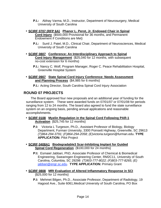- **P.I.:** Abhay Varma, M.D., Instructor, Department of Neurosurgery, Medical University of South Carolina
- **SCIRF 0707 (RFP 6A) Phanor L. Perot, Jr. Endowed Chair in Spinal Cord Injury** {\$500,000 Provisional for 36 months, and Permanent Endowment if Conditions are Met}
	- **P.I.:** Sunil J. Patel, M.D., Clinical Chair, Department of Neurosciences, Medical University of South Carolina
- **SCIRF 0807 Conference: An Interdisciplinary Approach to Spinal Cord Injury Management** {\$25,040 for 12 months, with subsequent no-cost extension for 6 months}
	- **P.I.:** Nancy C. Wolf, Program Manager, Roger C. Peace Rehabilitation Hospital, Greenville Hospital System
- **SCIRF 0907 State Spinal Cord Injury Conference: Needs Assessment and Planning Process** {\$4,985 for 6 months}

**P.I.:** Acting Director, South Carolina Spinal Cord Injury Association

## **ROUND 07 PROJECTS**

The Board approved four new proposals and an additional year of funding for the surveillance system. These were awarded funds on 07/01/07 or 07/01/08 for periods ranging from 12 to 24 months. The board also agreed to fund the state surveillance system on an ongoing basis, pending annual applications and reasonable accomplishments.

- **SCIRF 0108 Myelin Regulation in the Spinal Cord Following PAR-1 Activation** {\$25,745 for 12 months}
	- **P.I:** Victoria L Turgeson, Ph.D., Assistant Professor of Biology, Biology Department, Furman University, 3300 Poinsett Highway, Greenville, SC 29613 *(T)864-294-3791; (F)864-294-2058; (E)*victoria.turgeon@furman.edu. **TYPE APPLICATION:** Pilot Project
- **SCIRF 0408A1 Biodegradable3 Scar-Inhibiting Implant for Guided Spinal Cord Regeneration** {\$100,000 for 24 months}
	- **P:I:** Esmaiel Jabbari, PhD, Associate Professor of Chemical & Biomedical Engineering, Swearingen Engineering Center, RM2C11, University of South Carolina, Columbia, SC 29298 *(T)903-777-8022; (F)803-777-8265; (E)* jabbari@engr.sc.edu. **TYPE APPLICATION:** Primary Grant
- **SCIRF 0808 MRI Evaluation of Altered Inflammatory Response in SCI** {\$25,000 for 12 months}
	- **P.I:** Mehmet Bilgen, Ph.D., Associate Professor, Department of Radiology, 19 Hagood Ave., Suite 6061,Medical University of South Carolina, PO Box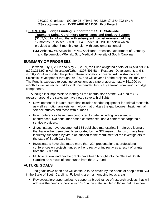250322, Charleston, SC 29425 *(T)843-792-3838; (F)843-792-6447; (E)*orsp@musc.edu. **TYPE APPLICATION:** Pilot Project

#### • **SCIRF 1004 Bridge Funding Support for the S. C. Statewide**

**Traumatic Spinal Cord Injury Surveillance and Registry System** {\$102,000 for 24 months, with subsequent no-cost extension adding 12 months—also see SCIRF 1004E under ROUND 07 below which provided another 6 month extension with supplemental funds}

**P.I.:** Anbesaw W. Selassie, DrPH., Assistant Professor, Department of Biometry and Epidemiology/Rehab. Sci., Medical University of South Carolina

#### **SUMMARY OF PROGRESS**

Between July 1, 2002 and May 29, 2009, the Fund obligated a total of \$4,584,998.96 (\$221,211.97 in Administration/Other; \$307,491.58 in Research Development; and \$ 4,056,295.41 in Funded Projects). These obligations covered Administration and Scientific Development through 06/1/09, and will cover all of the projects until they end. The Fund is expected to continue collections at a rate of approximately \$61,000 per month as well as reclaim additional unexpended funds at year-end from various budget components.

Although it is impossible to identify all the contributions of the SCI fund to SCI research around the state, we have noted several highlights:

- Development of infrastructure that includes needed equipment for animal research, as well as motion analysis technology that bridges the gap between basic animal science studies and those with humans.
- Five conferences have been conducted to date, including two scientific conferences, two consumer-based conferences, and a conference targeted at service providers.
- .Investigators have documented 154 published manuscripts in refereed journals that have either been directly supported by the SCI research funds or have been indirectly supported by virtue of support to the recruitment of the investigators to the state of South Carolina.
- Investigators have also made more than 224 presentations at professional conferences on projects funded either directly or indirectly as a result of grants from the SCI fund.
- Multiple federal and private grants have been brought into the State of South Carolina as a result of seed funds from the SCI fund.

#### **FUTURE GOALS**

Fund goals have been and will continue to be driven by the needs of people with SCI in the State of South Carolina. Following are main ongoing focus areas:

• Review/explore opportunities to support a broad range of research projects that will address the needs of people with SCI in the state, similar to those that have been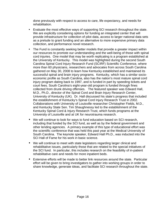done previously with respect to access to care, life expectancy, and needs for rehabilitation.

- Evaluate the most effective ways of supporting SCI research throughout the state. We are explicitly considering options for funding an integrated center that will provide infrastructure for collection of pilot data, access to larger national data sets as a prelude to grant funding and an alternative to more expensive primary data collection, and performance novel research.
- The Fund is constantly seeking better models that provide a greater impact within our resources to promote our understanding and the well-being of those with spinal cord injuries. One model that may be worth replicating is a program established at the University of Kentucky. This model was highlighted during the second South Carolina Spinal Cord Injury Research Fund (SCIRF) Scientific Conference, where more than 60 physicians, researchers and advocates from across South Carolina gathered on May 30, 2008 to learn how Kentucky established and maintained its successful spinal and brain injury programs. Kentucky, which has a similar socioeconomic profile as South Carolina, also has the nation's most mature spinal cord injury program dating back to 1997, and is funded in part by speeding tickets and court fees. South Carolina's eight-year-old program is funded through fines collected from drunk driving offenses. The featured speaker was Edward Hall, M.D., Ph.D., director of the Spinal Cord and Brain Injury Research Center, University of Kentucky (UK). Dr. Hall discussed his state's progress that included the establishment of Kentucky's Spinal Cord Injury Research Trust in 2002. Collaborations with University of Louisville researcher Christopher Fields, M.D., and Kentucky State Sen. Tim Shaughnessy led to the establishment of the Kentucky Spinal Cord & Injury Research Trust, which funds programs at the University of Louisville and at UK for neurotrauma research.
- We will continue to look for ways to fund education based on SCI research, including that funded by the SCI fund, as well as by the federal government and other lending agencies. A primary example of this type of educational effort was the scientific conference that was held this past year at the Medical University of South Carolina. The keynote speaker, Edward Hall Ph.D., was inducted into the SCI Hall of Fame for his work in basic science.
- We will continue to meet with state legislators regarding larger clinical and rehabilitative issues, particularly those that are related to the special initiatives of the SCI fund. In particular, this includes research on the feasibility of in-patient rehabilitative care and needs for more inpatient beds.
- Extensive efforts will be made to better link resources around the state. Particular effort will be given to bring investigators to gather into working groups in order to share knowledge, generate ideas, and facilitate SCI research throughout the state.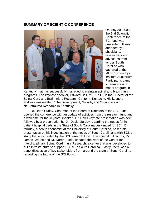#### **SUMMARY OF SCIENTIC CONFERENCE**



On May 30, 2008, the 2nd Scientific Conference of the SCI fund was presented. It was attended by 60 physicians, researchers and advocates from across South Carolina who gathered at the MUSC Storm Eye Institute Auditorium. Participants came to learn about a model program in

Kentucky that has successfully managed to maintain spinal and brain injury programs. The keynote speaker, Edward Hall, MD, Ph.D., is the Director of the Spinal Cord and Brain Injury Research Center in Kentucky. His keynote address was entitled: "The Development, Growth, and Organization of Neurotrauma Research in Kentucky."

Dr. Brian Cuddy, Chairman of the Board of Directors of the SCI Fund, opened the conference with an update of activities from the research fund and a welcome for the keynote speaker. Dr. Hall's keynote presentation was next, followed by a presentation by Dr. David Murday regarding the needs for inpatient hospital beds in the State of South Carolina designated for SCI. Dr. Murday, a health economist at the University of South Carolina, based his presentation on his investigation of the needs of South Carolinians with SCI, a study that was funded by the SCI research fund. The scientific directors, Dr. James Krause and Dr. Naren Banik, updated the work of the Center for Interdisciplinary Spinal Cord Injury Research, a center that was developed to build infrastructure to support SCIRF in South Carolina. Lastly, there was a panel discussion of key stakeholders from around the state of South Carolina regarding the future of the SCI Fund.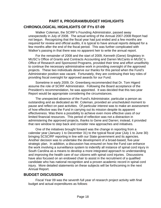# **PART II, PROGRAM/BUDGET HIGHLIGHTS CHRONOLOGICAL HIGHLIGHTS OF FYs 07-09**

Walker Coleman, the SCIRF's Founding Administrator, passed away unexpectedly in July of 2008. The actual writing of the Annual 2007-2008 Report had not begun. Recognizing that the fiscal year had just ended and a few months are required for review and official audits, it is typical to have annual reports delayed for a few months after the end of the fiscal period. This was further complicated with Walker's passing in that there was no apparent heir to write the annual report.

For the remainder of 2008 and the start of 2009, Kenneth (Gene) Singletary in MUSC's Office of Grants and Contracts Accounting and Darren McCants in MUSC's Office of Research and Sponsored Programs, provided their time and effort unselfishly to continue the necessary administrative work in providing oversight of the approved projects. These two individuals deserve our thanks for this period when the Fund's Administrator position was vacant. Fortunately, they are continuing their key roles of providing fiscal oversight for approved awards for our Fund.

Sometime in early 2009, Dr. Greenberg recommended that Dr. Tom Higerd assume the role of SCIRF Administrator. Following the Board acceptance of the President's recommendation, he was appointed. It was decided that this two-year Report would be appropriate considering the circumstances.

The unexpected absence of the Fund's Administrator, particular a person as outstanding and as dedicated as Mr. Coleman, provided an unscheduled moment to pause and reflect on past activities. Of particular interest was to make an assessment of how effective was the Fund in carrying out its mission despite its apparent effectiveness. Was there a possibility to achieve even more effective uses of our limited financial resources. This period of reflection was not a distraction in administering the approved projects, thanks to Gene and Darren; instead, it provided that rare window to step back and consider new approaches and initiatives.

One of the initiatives brought forward was the change in reporting from a calendar year (January 1 to December 31) to the typical fiscal year (July 1 to June 30) bringing SCSCIRF reporting in line with our State government and its agencies. Another decision was to undertake the development of a broad-based, five-year strategic plan. In addition, a discussion has ensured on how the Fund can enhance the work involving a surveillance system to indentify all instance of spinal cord injury in South Carolina as a means to develop a more integrated approach to understanding and improving the health care of our citizens with spinal cord injuries. Discussions have also focused on an endowed chair to assist in the recruitment of a qualified candidate who has national recognition and a proven academic record in spinal cord injury. More detailed statements on these subjects will be forthcoming in the next Annual Report.

## **BUDGET DISCUSSION**

Fiscal Year 09 was the seventh full year of research project activity with final budget and actual expenditures as follows: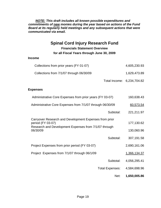*NOTE: This draft includes all known possible expenditures and commitments of new monies during the year based on actions of the Fund Board at its regularly held meetings and any subsequent actions that were communicated via email.* 

## **Spinal Cord Injury Research Fund**

**Financials Statement Overview for all Fiscal Years through June 30, 2009**

#### **Income**

| Collections from prior years (FY 01-07)  | 4,605,230.93 |
|------------------------------------------|--------------|
| Collections from 7/1/07 through 06/30/09 | 1,629,473.89 |

Total Income: 6,234,704.82

#### **Expenses**

| Administrative Core Expenses from prior years (FY 03-07)                                                                             | 160,638.43   |
|--------------------------------------------------------------------------------------------------------------------------------------|--------------|
| Administrative Core Expenses from 7/1/07 through 06/30/09                                                                            | 60,573.54    |
| Subtotal:                                                                                                                            | 221,211.97   |
| Carryover Research and Development Expenses from prior<br>period (FY 03-07)<br>Research and Development Expenses from 7/1/07 through | 177,130.62   |
| 06/30/09                                                                                                                             | 130,060.96   |
| Subtotal:                                                                                                                            | 307,191.58   |
| Project Expenses from prior period (FY 03-07)                                                                                        | 2,690,161.06 |
| Project Expenses from 7/1/07 through 06/1/09                                                                                         | 1,366,134.37 |
| Subtotal:                                                                                                                            | 4,056,295.41 |
| <b>Total Expenses:</b>                                                                                                               | 4,584,698.96 |
| Net:                                                                                                                                 | 1,650,005.86 |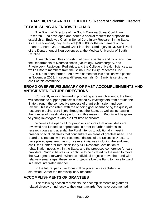# **PART III, RESEARCH HIGHLIGHTS** (Report of Scientific Directors) **ESTABLISHING AN ENDOWED CHAIR**

The Board of Directors of the South Carolina Spinal Cord Injury Research Fund developed and issued a special request for proposals to establish an Endowed Chair in Spinal Cord Injury Research in the State. As the year ended, they awarded \$500,000 for the recruitment of the Phanor L. Perot, Jr. Endowed Chair in Spinal Cord Injury to Dr. Sunil Patel of the Department of Neurosciences at the Medical University of South Carolina.

A search committee consisting of basic scientists and clinicians from the Departments of Neurosciences (Neurology, Neurosurgery, and Physiology), Radiology, Pediatrics, and the College of Health Sciences, as well as Board members from the Spinal Cord Injury Research Fund (SCIRF), has been formed. An advertisement for this position was posted in November 2008, in several different journals. Dr. Banik is serving as chair of this committee.

#### **BROAD OVERVIEW/SUMMARY OF PAST ACCOMPLISHMENTS AND ANTICIPATED FUTURE DIRECTIONS**

Constantly moving forward in promoting a research agenda, the Fund will continue to support projects submitted by investigators from around the State through the competitive process of grant submission and peer review. This is consistent with the ongoing goal of enhancing the quality of research in spinal cord injury throughout the State, as well as increasing the number of investigators performing this research. Priority will be given to young investigators who are first-time applicants.

Whereas the open call for proposals ensures that novel ideas are reviewed and funded as appropriate, in order to further address its research goals and agenda, the Fund intends to additionally invest in broader special initiatives that concentrate on areas of greatest need. The Board of Directors, with the recommendations of the Scientific Directors, have placed great emphasis on several initiatives including the endowed chair, the Center for Interdisciplinary SCI Research, evaluation of rehabilitation needs within the State, and the proposed conference for care providers. Such initiatives will continue to be dictated by the need to move the SCI agenda forward. Whereas individual projects move the Fund with relatively small steps, these larger projects allow the Fund to move forward in a more integrated manner.

In the future, particular focus will be placed on establishing a statewide Center for interdisciplinary research.

## **ACCOMPLISHMENTS OF GRANTEES**

The following section represents the accomplishments of grantees related directly or indirectly to their grant awards. We have documented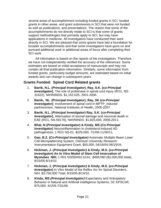several areas of accomplishment including funded grants in SCI, funded grants in other areas, and grant submissions in SCI that were not funded as well as publications, and presentations. The reason that some of the accomplishments do not directly relate to SCI is that some of grants support methodologies that primarily apply to SCI, but may have applications in medicine. All investigators have conducted their work directly in SCI. We are pleased that some grants have laid a foundation for broader accomplishments and that some investigators have gone on and pursued additional work in additional areas of focus after completing their SCI work.

All information is based on the reports of the investigators. Therefore, we have not independently verified the accuracy of the references. Some estimates are based on initial acceptance of manuscripts and may not contain all final publication information. Similarly, some information from funded grants, particularly budget amounts, are estimated based on initial awards and can change in subsequent years.

#### **Grants Funded: Spinal Cord Related grants**

- 1. **Banik, N.L. (***Principal Investigator***), Ray, S.K. (c***o-Principal Investigator***)**, The role of proteinase in spinal cord injury (RO1, NS-31622), NIH/NINDS, \$1,152,025, 2001-2006.
- 2. **Banik, NL. (Principal Investigator), Ray, SK (***co-Principal*  **Investigator)**, Involvement of spinal cord in MPTP\_induced parkinsonism, National Institutes of Health, 2005-2007.
- 3. **Banik, N.L. (***Principal Investigator***) Ray, S.K. (c***o-Principal Investigator***)**, Attenuation of axonal damage and neuronal death in EAE (RO1, NS-56176), NIH/NINDS, \$1,825,000, 2006-2011.
- 4. **Bhat, N (***Principal Investigator***) & Kindy, MS (***Co-Principal Investigator*) Neuroinflammation in cholesterol-induced AD pathogenesis, 1 RO1 NS-01, \$225,000, 7/1/06-11/30/11.
- 5. **Gao, B.Z. (***Co-Principal Investigator)* Automatic Multiple Beam Laser Cell Micropatterning System, Clemson University Research Instrumentation Equipment Grant, \$50,000, 04/16/04-08/15/04.
- 6. **Hickman, J. (***Principal Investigator)* **& Kindy, M.S. (***co-Principal Investigator***) An In Vitro Model of Stem Cell Innervation of Myotubes NIH,** 1 R01 NS050452-01A1, \$499,580 (\$2,000,000 total), 8/15/05-8/14/10.
- 7. **Hickman, J. (***Principal Investigator)* **& Kindy, M.S. (***co-Principal*  **Investigator**) In Vitro Model of the Reflex Arc for Spinal Disorders, NIH, \$3,750,000 Total, 8/15/05-8/14/10.
- 8. **Kindy, MS** *(Principal Investigator)* Expectatory and Anticipatory Behavior in Natural and Artificial Intelligence Systems, SC EPSCoR, \$75,000, 4/1/05-7/31/06.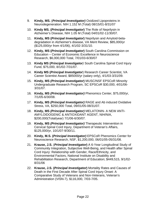- 9. **Kindy, MS.** (*Principal Investigator)* Oxidized Lipoproteins in Neurodegeneration. NIH 1.152 M (Total) 08/15/01-8/31/07
- 10. **Kindy MS. (***Principal Investigator***)** The Role of Neprilysin in Alzheimer's Disease, NIH 1.05 M (Total) 04/01/02-11/30/07.
- 11. **Kindy, MS (***Principal Investigator***)** Neprilysin and Amyloid-betadegradation in Alzheimer's disease, VA Merit Review, \$85,000/yr (\$125,000/yr from 4/1/06), 4/1/02-3/31/10.
- 12. **Kindy, MS (***Principal Investigator***)** South Carolina Commission on Education – Center of Economic Excellence in Neuroscience Research, \$6,000,000 Total, 7/01/03-6/30/07
- 13. **Kindy MS (***Principal Investigator)* South Carolina Spinal Cord Injury Fund, \$75,000, 8/1/02-7/31/07.
- 14. **Kindy MS (***Principal Investigator*) Research Career Scientist, VA Career Scientist Award, \$85000/yr (salary only), 4/1/03-3/31/09.
- 15. **Kindy, MS** *(Principal Investigator***)** MUSC/NSF EPSCoR Minority Undergraduate Research Program, SC EPSCoR \$30,000, 4/01/06- 3/31/07.
- 16. **Kindy, MS** *(Principal Investigator)* Phenomics Center, \$75,000/yr, 7/1/05-6/30/08.
- 17. **Kindy, MS** *(Principal Investigator)* RAGE and Ab induced Oxidative Stress, VA, \$250,000 Total, 09/01/05-08/31/07.
- 18. **Kindy, MS** *(Principal Investigator)* MELATONIN- A NEW ANTI-AMYLOIDOGENIC & ANTIOXIDANT AGENT, NIH/NIA, \$200,000(Total/year) 7/1/06-6/30/07.
- 19. **Kindy, MS** *(Principal Investigator)* Therapeutic Intervention in Cervical Spinal Cord Injury, Department of Veteran's Affairs, \$125,000/yr, 10/1/07-9/30/11.
- 20. **Kindy, M.S. (***Principal Investigator)* EPSCoR Phenomics Center for Neuroscience Research, NSF, \$1,200,000, 06/01/05-05/31/08.
- 21. **Krause, J.S.** (*Principal Investigator***)** A 6-Year Longitudinal Study of Community Integration, Subjective Well-Being, and Health after Spinal Cord Injury: Relationship with Gender, Race/Ethnicity, and Environmental Factors, National Institute on Disability and Rehabilitation Research, Department of Education; \$449,515, 9/1/02- 8/31/06
- 22. **Krause, J.S. (***Principal Investigator***)** Mortality Rates and Causes of Death in the First Decade After Spinal Cord Injury Onset: A Comparative Study of Veterans and Non-Veterans, Veteran's Administration (VISN-7), \$116,000, 7/03-7/05.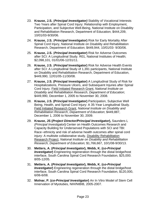- 23. **Krause, J.S.** (*Principal Investigator)* Stability of Vocational Interests Two Years after Spinal Cord Injury: Relationship with Employment, Participation, and Subjective Well-Being, National Institute on Disability and Rehabilitation Research, Department of Education; \$444,209, 10/01/03-9/30/06.
- 24. **Krause, J.S.** (*Principal* **Investigator)** Risk for Early Mortality After Spinal Cord Injury, National Institute on Disability and Rehabilitation Research, Department of Education; \$449,944, 10/01/03- 9/30/06.
- 25. **Krause, J.S.** (*Principal Investigator***)** Risk for Adverse Outcomes after SCI: A Longitudinal Study. R01, National Institutes of Health; \$2,098,101, 01/01/06-12/31/11.
- 26. **Krause, J.S.** (*Principal* **Investigator)** Risk for Adverse Health Events after SCI: A Longitudinal Study of 1,391 participants, National Institute on Disability and Rehabilitation Research, Department of Education, \$449,990, 12/01/05-11/30/08.
- 27. **Krause, J.S. (Principal Investigator)** A Longitudinal Study of Risk for Hospitalizations, Pressure Ulcers, and Subsequent Injuries after Spinal Cord Injury. Field Initiated Research Grant, *National Institute on Disability and Rehabilitation Research*, *Department of Education*; \$449,990, December 1, 2005 to November 30, 2008.
- 28. **Krause, J.S. (Principal Investigator)** Participation, Subjective Well Being, Health, and Spinal Cord Injury: A 35-Year Longitudinal Study. Field Initiated Research Grant, *National Institute on Disability and Rehabilitation Research*, *Department of Education*; \$449,887, December 1, 2006 to November 30, 2009.
- 29. **Krause, JS (***Project Director/Principal Investigator***),** Saunders L *(Principal Investigator***)** Center on Health Outcomes Research and Capacity Building for Underserved Populations with SCI and TBI: Race-ethnicity and risk of adverse health outcomes after spinal cord injury: A multisite collaborative study, Disability Rehabilitation Research Project, *National Institute on Disability and Rehabilitation Research, Department of Education;* \$1,766,667, 10/1/08-9/30/13.
- 30. **Metters, A. (***Principal Investigator***), Webb, K. (c***o-Principal*  **Investigator**) Engineering regeneration through the distal bridge/host interface, South Carolina Spinal Cord Research Foundation, \$25,000. 8/05-12/05.
- 31. **Metters, A. (***Principal Investigator***), Webb, K. (c***o-Principal*  **Investigator**) Engineering regeneration through the distal bridge/host interface, South Carolina Spinal Cord Research Foundation, \$120,000, 6/06-6/08.
- 32. **Molnar, P. (***co-Principal Investigator***)** An In Vitro Model of Stem Cell Innervation of Myotubes, NIH/NIBIB, 2005-2007.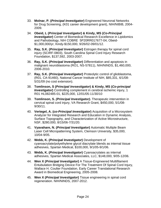- 33. **Molnar, P. (***Principal Investigator***)** Engineered Neuronal Networks for Drug Screening, (K01 career development grant), NIH/NIBIB, 2004- 2009.
- 34. **Obeid, L (***Principal Investigator***) & Kindy, MS (***Co-Principal Investigator***)** Center of Biomedical Research Excellence in Lipidomics and Pathobiology, NIH COBRE 5P20RR017677-04, Obeid- \$1,000,000/yr, Kindy-\$150,000, 9/26/02-09/01/12.
- 35. **Ray, S.K. (***Principal Investigator***)** Estrogen therapy for spinal cord injury (SCIRF-0803), South Carolina Spinal Cord Injury Research Foundation, \$137,592, 2003-2007.
- 36. **Ray, S.K. (***Principal Investigator***)** Differentiation and apoptosis in malignant neuroblastoma (RO1, NS-57811), NIH/NINDS, \$1,460,000, 2006-2010.
- 37. **Ray, S.K. (***Principal Investigator***)** Proteolytic control of glioblastoma, (R01, CA-91460), National Cancer Institute of NIH, \$85,331, 6/1/08- 5/31/09 (no cost extension).
- 38. **Tomlinson, S (***Principal Invsestigator***) & Kindy, MS (***Co-principal*  **Investigator**) Controlling complement in cerebral ischemic injury, 1 R01 HL082485-01, \$225,000, 12/01/05-11/30/10
- 39. **Tomlinson, S.** *(Principal Investigator)***.** Therapeutic intervention in cervical spinal cord injury, VA Research Grant, \$450,000, 5/1/08- 9/30/11.
- 40. **Vertegel, A. (***co-Principal Investigator***)** Acquisition of a Microsystem Analyzer for Integrated Research and Education in Dynamic Analysis, Surface Topography, and Characterization of Active Microstructure, NSF, \$280,000, 8/15/06-7/31/20.
- 41. **Vyavahare, N. (***Principal Investigator***)** Automatic Multiple Beam Laser Cell Micropatterning System, Clemson University, \$35,000, 10/04-9/05.
- 42. **Webb, K. (***Principal Investigator***)** Development of cyanoacrylate/polyethylene glycol diacrylate blends as internal tissue adhesives, Spartan Medical, \$100,000, 9/1/05-9/1/06.
- 43. **Webb, K. (***Principal Investigator***)** Cyanoacrylates as internal adhesives, Spartan Medical Associates, LLC, \$148,000, 9/05-12/06.
- 44. **Wen X (***Principal Investigator***)** A Tissue-Engineered Multifilament Entubulation Bridging Device For The Treatment Of Spinal Cord Injury, Wallace H. Coulter Foundation, Early Career Translational Research Award in Biomedical Engineering, 2005-2008.
- 45. **Wen X (***Principal Investigator***)** Tissue engineering in spinal cord regeneration. NIH/NINDS, 2007-2012.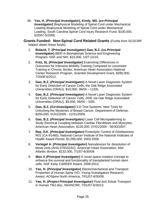46. **Yao, H.** *(Principal Investigator***), Kindy, MS. (***co-Principal Investigator***)** Biophysical Modeling of Spinal Cord under Mechanical Loading Biophysical Modeling of Spinal Cord under Mechanical Loading, South Carolina Spinal Cord Injury Research Fund, \$100,000, 6/2007-5/2009.

**Grants Funded: Non-Spinal Cord Related Grants** (Funds from SCSCIRF helped obtain these funds)

- 1. **Boland, T. (Principal Investigator) Gao, B.Z. (co-Principal Investigator)** BBSI in Biomaterials Science and Engineering Program, NSF and NIH, \$15,000, 1/07-12/10.
- 2. **Fritz, SL (***Principal Investigator***)** Examining Differences in Outcomes for Intensive Mobility Training Compared to Locomotor Training in Chronic Stroke, American Heart Association National Center Research Program, Scientist Development Grant, \$280,000, 7/2008-6/2012.
- 3. **Gao, B.Z. (***Principal Investigator)* A Novel Laser Diagnostic System for Early Detection of Cancer Cells, the Oak Ridge Associated Universities (ORAU), \$10,000, 06/04 – 11/05.
- 4. **Gao, B.Z. (***Principal Investigator)* A Novel Laser Diagnostic System for Early Detection of Cancer Cells, DOE via Oak Ridge Associated Universities (ORAU), \$5,000, 06/04 – 5/05.
- 5. **Gao, B.Z. (***Co-Investigator)* 3-D Test Systems: New Tools for Unlocking the Mysteries of Breast Cancer, Department of Defense, \$250,000, 01/01/2005 - 12/31/2009.
- 6. **Gao, B.Z. (***Principal Investigator)* Laser Cell Micropatterning to Study Electrical Coupling between Cardiac Fibroblasts and Myocytes, American Heart Association, \$120,000, 07/01/2005 - 06/30/2007.
- 7. **Ray, S.K**. **(***Principal Investigator)* Proteolytic Control of Glioblastoma R01 (CA-91460), National Cancer Institute of the National Institutes of Health Award Period, \$1,095,000, 2003-2008.
- 8. **Vertegel A. (***Principal Investigator***)** Nanodevices for dissolution of blood clots (AHA 0765323U), American Heart Association, Mid-Atlantic division, \$132,000, 7/1/07-6/30/09.
- 9. **Wen X** *(Principal Investigator)* A novel space-creation concept to enhance the survival and functionality of transplanted human stem cells, NSF Early CAREER Award, 2008-2013.
- 10. **Yao, H. (***Principal Investigator***)** Electromechanical and Transport Properties of Human Spine IVD, Young Investigators Research Award, AOSpine North America, 7/01/07-6/30/09.
- 11. **Yao, H. (***Project Principal Investigator***)** Fluid and Solute Transport in Human TMJ disc, NIH/NCRR, 7/01/07-6/30/12.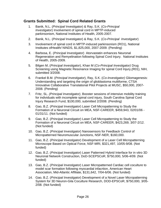## **Grants Submitted: Spinal Cord Related Grants**

- 1. Banik, N.L. (*Principal* Investigator) & Ray, S.K. (*Co-Principal Investigator*) Involvement of spinal cord in MPTP-induced parkinsonism, National Institutes of Health, 2005-2007.
- 2. Banik, N.L. (*Principal* Investigator) & Ray, S.K. (*Co-Principal Investigator*)
- 3. Involvement of spinal cord in MPTP-induced parkinsonism (RO1), National Institutes ofHealth/ NINDS, \$1,825,000, 2007-2009. (Pending)
- 4. Barbosa, E. (*Principal Investigator*) Atorvastatin enhances Neuronal Regeneration and Remyelination following Spinal Cord Injury. National Institutes of Health, 2005-2009.
- 5. Bilgen M, (*Principal Investigator*), Khan M (*Co-Principal Investigator)* Drug Screening using Magnetic Resonance Imaging for spinal Cord Injury,(R01), NIH, submitted 3/2008.
- 6. Frankel B.M. (*Principal Investigator*), Ray, S.K. (*Co-Investigator)* Gliomagenesis: Understanding and targeting the origin of glioblastoma multiforme, CTSA Innovative Collaborative Translational Pilot Projects at MUSC, \$50,000, 2007- 2008. (Pending)
- 7. Fritz, SL. *(Principal Investigator)*, Booster sessions of intensive mobility training for individuals with incomplete spinal cord injury, South Carolina Spinal Cord Injury Research Fund, \$100,000, submitted 2/2008. (Pending)
- 8. Gao, B.Z. (*Principal Investigator*) Laser Cell Micropatterning to Study the Formation of a Neuronal Circuit on MEA, NSF-CAREER, \$459,943, 02/01/06 - 01/31/11. (Not funded)
- 9. Gao, B.Z. (*Principal Investigator*) Laser Cell Micropatterning to Study the Formation of a Neuronal Circuit on MEA, NSF-CAREER, \$423,269, 3/07-2/12. (Not funded)
- 10. Gao, B.Z. (*Principal Investigator*) Nanosensors for Feedback Control of Micropatterned Neuromuscular Junctions, NSF-NER, \$160,000.
- 11. Gao, B.Z. (*Principal Investigator*) Development of a Laser Cell Micropatterning Microscope Based on Optical Force, NSF-MRI, \$321,497, 10/05-9/08. (Not funded)
- 12. Gao, B.Z. (*Principal Investigator*) Laser Patterned Hybrid Interface for in vitro 3D Neuronal Network Construction, DoD-SCEPSCoR, \$750,000, 5/06-4/09. (Not funded)
- 13. Gao, B.Z. (*Principal Investigator*) Laser Micropatterned Cardiac cell coculture to model scar formation following myocardial infacrtion, American Heart Association, Mid-Atlantic Affiliate, \$131,642, 7/04-6/06. (Not funded)
- 14. Gao, B.Z. (*Principal Investigator*) Development of a Novel Laser Micropatterning System for 3D Neuron-Gila Coculture Research, DOD-EPSCoR, \$750,000, 3/05- 2/08. (Not funded)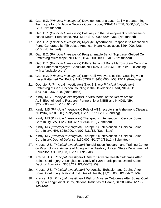- 15. Gao, B.Z. (*Principal Investigator*) Development of a Laser Cell Micropatterning Technique for 3D Neuron Network Construction, NSF-CAREER, \$500,000, 3/05- 2/10. (Not funded)
- 16. Gao, B.Z. (*Principal Investigator*) Pathways to the Development of Nanosensor based Neural Prostheses, NSF-NER, \$150,000, 9/05-8/06. (Not funded)
- 17. Gao, B.Z. (*Principal Investigator*) Myocyte Hypertrophic Response to Mechanical Force Generated by Fibroblast, American Heart Association, \$264,000, 7/06- 6/10. (Not funded)
- 18. Gao, B.Z. (*Principal Investigator*) Programmable Bench Top Laser-Guided Cell Patterning Microscope, NIH-R21, \$547,600, 10/06-9/09. (Not funded)
- 19. Gao, B.Z. (*Principal Investigator*) Differentiation of Bone Marrow Stem Cells in a Laser Patterned Myocyte Coculture, NIH-K25, \$1,068,613, 9/07-8/12. (Pending with a fundable score)
- 20. Gao, B.Z. (*Principal Investigator*) Stem Cell Myocyte Electrical Coupling via a Laser Patterned Cell Bridge, NIH-COBRE, \$450,000, 1/08-12/11. (Pending)
- 21. Gourdie, R (Principal Investigator) Gao, B.Z. (*co-Principal Investigator*) Patterning of Gap Junction Coupling in the Developing Heart, NIH-RO1, \$73,20010/06-9/08, (Not funded)
- 22. Kindy, M.S. (*Principal Investigator*) In Vitro Model of the Reflex Arc for ALS, Bioengineering Research Partnership at NIBIB and NINDS, NIH, \$250,000/year, 7/1/06 6/30/11.
- 23. Kindy, MS (*Principal Investigator)* Role of AGE receptors in Alzheimer's Disease, NIH/NIA, \$250,000 (Total/year), 12/1/06-11/30/11. (Pending)
- 24. Kindy, MS (*Principal Investigator)* Therapeutic Intervention in Cervical Spinal Cord Injury, VA, \$125,000, 4/1/07-3/31/11. (Submitted)
- 25. Kindy, MS (*Principal Investigator)* Therapeutic Intervention in Cervical Spinal Cord Injury, NIH, \$250,000, 4/1/07-3/31/12. (Submitted)
- 26. Kindy, MS (*Principal Investigator)* Therapeutic Intervention in Cervical Spinal Cord Injury, Dept of Defense \$150,000, 4/1/07-3/31/11. (Submitted)
- 27. Krause, J.S. (*Principal Investigator)* Rehabilitation Research and Training Center on Psychological Aspects of Aging with a Disability, United States Department of Educaiton, \$3,612,163, 10/1/03-09/30/08.
- 28. Krause, J.S. (*Principal Investigator)* Risk for Adverse Health Outcomes After Spinal Cord Injury: A Longitudinal Study of 1,391 Participants, United States Dept. of Education, \$308,217, 8/1/04-7/31/09.
- 29. Krause, J.S. (*Principal Investigator)* Personality, Behavior, and Coping After Spinal Cord Injury, National Institutes of Health, \$1,250,000, 8/1/04-7/31/09.
- 30. Krause, J.S. (*Principal Investigator)* Risk of Adverse Outcomes After Spinal Cord Injury: A Longitudinal Study, National Institutes of Health, \$1,900,484, 1/1/05- 12/31/09.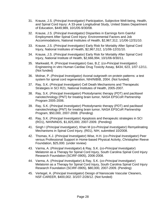- 31. Krause, J.S. (*Principal Investigator)* Participation, Subjective Well-being, Health, and Spinal Cord Injury: A 33-year Longitudinal Study, United States Department of Education, \$449,989, 10/1/05-9/30/08.
- 32. Krause, J.S. (*Principal Investigator)* Disparities in Earnings form Gainful Employment After Spinal Cord Injury: Environmental Factors and Job Accommodations, National Institutes of Health, \$2,967,312, 1/1/06-12/31/10.
- 33. Krause, J.S. (*Principal Investigator)* Early Risk for Mortality After Spinal Cord Injury, National Institutes of Health, \$2,967,312, 1/1/06-12/31/10.
- 34. Krause, J.S. (*Principal Investigator)* Early Risk for Mortality After Spinal Cord Injury, National Institute of Health, \$2,666,994, 10/1/06-9/30/11.
- 35. Markwald, R. (Principal Investigator) Gao, B.Z. (*co-Principal Investigator*) Engineering in vitro Human Cardiac Drug Toxicity Assay, \$434, 623, 1/07-12/11. (Not funded)
- 36. Molnar, P. *(Principal Investigator)* Axonal outgrowth on protein patterns: a test system for spinal cord regeneration, NIH/NIBIB, 2004. (Not funded)
- 37. Ray, S.K. (*Principal Investigator*) Cell Death Mechanisms and Therapeutic Strategies in SCI R21, National Institutes of Health, 2005-2007.
- 38. Ray, S.K. (*Principal Investigator*) Photodynamic therapy (PDT) and paclitaxel nanotechnology (PNT) for treating brain tumor, NASA EPSCoR Partnership Program 2005-2006.
- 39. Ray, S.K. (*Principal Investigator*) Photodynamic therapy (PDT) and paclitaxel nanotechnology (PNT) for treating brain tumor, NASA EPSCoR Partnership Program, \$50,000, 2007-2008. (Pending)
- 40. Ray, S.K. (*Principal Investigator*) Apoptosis and therapeutic strategies in SCI (RO1), NIH/NINDS, \$1,825,000, 2007-2009. (Pending)
- 41. Singh I (*Principal Investigator*), Khan M (*co-Principal Investigator*) Remyelinating Mechanisms in Spinal Cord Injury, (R01), NIH, submitted 10/2008.
- 42. Thomas, K.J. (*Principal Investigator*) Wise, H.H. (*co-Principal Investigator*) Peer versus Professional Support in Home-based Physical Activity, Christopher Reeve Foundation, \$25,000. (under review)
- 43. Varma, A. (*Principal Investigator*) & Ray, S.K. (*co-Principal Investigator*) Melatonin as a Therapy for Spinal Cord Injury, South Carolina Spinal Cord Injury Research Foundation (SCIRF-0905), 2006-2008.
- 44. Varma, A. (*Principal Investigator*) & Ray, S.K. (*co-Principal Investigator*) Melatonin as a Therapy for Spinal Cord Injury, South Carolina Spinal Cord Injury Research Foundation (SCIRF-0905), \$80,000, 2007-2009. (Pending)
- 45. Vertegel, A. (*Principal Investigator*) Design of Nanoscale Vascular Cleaners, NSF-CAREER, \$400,002. 3/1/07-2/28/12. (Not funded)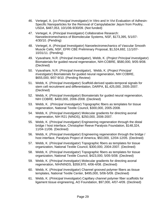- 46. Vertegel, A. (*co-Principal Investigator*) In Vitro and In Vivi Evaluation of Adhesin-Specific Nanoparticles for the Removal of Campylabacter Jejuni from Poultry, USDA, \$487,053, 10/1/06-9/30/09. (Not funded)
- 47. Vertegel, A. (*Principal Investigator*) Collaborative Research: Nanoelectromechanics of Biomolecular Systems, NSF, \$173,395, 5/1/07- 4/30/10. (Pending)
- 48. Vertegel, A. (*Principal Investigator*) Nanoelectromechanics of Vascular Smooth Muscle Cells, NSF, EFRI CBE Preliminary Proposal, \$1,524,692, 11/1/07- 10/31/11. (Pending)
- 49. Vyavahare, N.R. (*Principal Investigator*), Webb, K. (*Project Principal Investigator*) Biomaterials for guided neural regeneration, NIH-COBRE, \$580,000, 9/05-9/08. (Declined)
- 50. Vyavahare, N.R. (*Principal Investigator*), Webb, K. (*Project Principal Investigator*) Biomaterials for guided neural regeneration, NIH COBRE, \$655,000, 9/07-9/10. (Pending Review)
- 51. Webb, K. (*Principal Investigator*) Scaffold-derived spatio-temporal signals for stem cell recruitment and differentiation, DARPA, \$1,425,000, 2005-2007. (Declined)
- 52. Webb, K. (*Principal Investigator*) Biomaterials for guided neural regeneration, NIH COBRE. \$400,000, 2006-2008. (Declined)
- 53. Webb, K. (*Principal Investigator*) Topographic fibers as templates for tissue regeneration, National Textile Council, \$300,000, 2005-2008.
- 54. Webb, K. (*Principal Investigator*) Molecular gradients for directing axonal regeneration, NIH R21 (NINDS), \$250,000, 2006-2007.
- 55. Webb, K. (*Principal Investigator*) Engineering regeneration through the distal bridge / host interface, Christopher Reeve Paralysis Foundation, \$148,324, 11/04-11/06. (Declined)
- 56. Webb, K. (*Principal Investigator*) Engineering regeneration through the bridge / host interface, Paralysis Project of America, \$50,000, 12/04-12/05. (Declined)
- 57. Webb, K. (*Principal Investigator*) Topographic fibers as templates for tissue organization, National Textile Council, \$300,000, 2004-2007. (Declined)
- 58. Webb, K. (*Principal Investigator*) Topographic fibers as templates for tissue organization, National Textile Council, \$423,000, 5/05-5/08. (Declined)
- 59. Webb, K. (*Principal Investigator*) Molecular gradients for directing axonal regeneration, NIH/NINDS, \$359,970, 4/06-4/08. (Declined)
- 60. Webb, K. (*Principal Investigator*) Channel grooved polymer fibers as tissue templates, National Textile Center, \$495,000, 5/06-5/09. (Declined)
- 61. Webb, K. (*Prinicipal Investigator*) Capillary channel polymer fiber scaffolds for ligament tissue engineering, AO Foundation, \$97,000, 4/07-4/09. (Declined)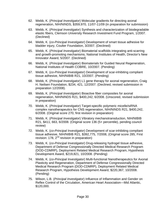- 62. Webb, K. (*Principal Investigator*) Molecular gradients for directing axonal regeneration, NIH/NINDS, \$359,970, 11/07-11/09 (in preparation for submission)
- 63. Webb, K. (*Principal Investigator*) Synthesis and characterization of biodegradable elastic fibers, Clemson University Research Investment Fund Program, 1/2007. (Declined)
- 64. Webb, K. (*co-Principal Investigator*) Development of smart tissue adhesive for bladder injury, Coulter Foundation, 3/2007. (Declined)
- 65. Webb, K. (*Principal Investigator*) Biomaterial scaffolds integrating anti-scarring and growth-promoting mechanisms, National Institutes of Health, Director's New Innovator Award, 5/2007. (Declined)
- 66. Webb, K. (*Principal Investigator*) Biomaterials for Guided Neural Regeneration, National Institutes of Health COBRE, 10/2007. (Pending)
- 67. Webb, K. (*co-Principal Investigator*) Development of scar-inhibiting compliant tissue adhesive, NIH/NIBIB R21, 10/2007. (Pending)
- 68. Webb, K. (*Principal Investigator*) L1 gene therapy for axonal regeneration, Craig H. Neilsen Foundation, \$234, 421, 12/2007. (Declined, revised submission in preparation 12/2008).
- 69. Webb, K. (*Principal Investigator*) Bioactive fiber composites for axonal regeneration, NIH/NINDS R21, \$400,242, 6/2008. (Unscored, revised submission in preparation)
- 70. Webb, K. (*Principal Investigator*) Target-specific polymeric micelle/siRNA complex nanotherapeutics for CNS regeneration, NIH/NINDS R21, \$400,242, 6/2008. (Original score 270, first revision in preparation)
- 71. Webb, K. (*Principal Investigator*) Vibratory mechanotransduction, NIH/NIBIB R21, \$411, 663, 6/2008. (Original score 136 (5+ percentile), pending council review)
- 72. Webb, K. (*co-Principal Investigator*) Development of scar-inhibiting compliant tissue adhesive, NIH/NIBIB R21, \$392,775, 7/2008, (Original score 285, First revision: 178,  $2^{nd}$  revision in preparation)
- 73. Webb, K. (*co-Principal Investigator*) Drug-releasing hydrogel tissue adhesive, Department of Defense Congressionally Directed Medical Research Program (DOD-CDMRP), Deployment Related Medical Research Program, Hypothesis Development Award, \$219,821, 10/2008. (Pending)
- 74. Webb, K. (*co-Principal Investigator*) Multi-functional Nanotherapeutics for Axonal Plasticity and Regeneration, Department of Defense Congressionally Directed Medical Research Program (DOD-CDMRP), Deployment Related Medical Research Program, Hypothesis Development Award, \$220,367, 10/2008. (Pending)
- 75. Wilson, L.B. (*Principal Investigator*) Influence of Inflammation and Gender on Reflex Control of the Circulation, American Heart Association—Mid Atlantic, \$120,000.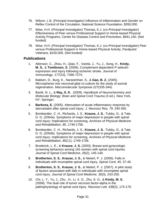- 76. Wilson, L.B. (*Principal Investigator*) Influence of Inflammation and Gender on Reflex Control of the Circulation, National Science Foundation, \$350,000.
- 77. Wise, H.H. (*Principal Investigator*) Thomas, K.J. (*co-Principal Investigator*) Effectiveness of Peer versus Professional Support in Home-based Physical Activity Programs, Center for Disease Control and Prevention, \$941,140. (Not funded)
- 78. Wise, H.H. (*Principal Investigator*) Thomas, K.J. (*co-Principal Investigator*) Peer versus Professional Support in Home-based Physical Activity, Paralyzed Veterans, \$150,000. (Not funded)

#### **Publications**

- 1. Atkinson, C., Zhou, H., Qiao, F., Varela, J., Yu, J., Song, H., **Kindy, M. S.**, & **Tomlinson, S**. (2006). Complement dependent P-selectin expression and injury following ischemic stroke. *Journal of Immunology, 177*(10), 7266-7274.
- 2. Bakken, D., Burg, K., Narasimhan, S., & **Gao, B. Z.** (2005). Microspheres into neuronal-glial co-culture for the study of axonal regeneration. *Macromolecular Symposia 227*(335-344).
- 3. Banik, N. L., & **Ray, S. K.** (2009). *Handbook of Neurochemistry and Molecular Biology: Brain and Spinal Cord Trauma (3 ed.). New York,* NY: Springer.
- 4. **Barbosa, E.** (2005). Attenuation of acute inflammatory response by atorvastatin after spinal cord injury. *J. Neurosci Res, 79*, 340-350.
- 5. Bombardier, C. H., Richards, J. S., **Krause, J. S.**, Tulsky, D., & Tate, D. G. (2004a). Symptoms of major depression in people with spinal cord injury: Implications for screening. *Archives of Physical Medicine and Rehabilitation, 85*, 1749-1756.
- 6. Bombardier, C. H., Richards, J. S., **Krause, J. S.**, Tulsky, D., & Tate, D. G. (2004b). Symptoms of major depression in people with spinal cord injury: implications for screening. *Archives of Physical Medicine and Rehabilitation, 85*(11), 1749-1756.
- 7. Broderick, L. E., & **Krause, J. S.** (2003). Breast and gynecologic screening behaviors among 191 women with spinal cord injuries. *Journal of Spinal Cord Medicine, 26*(2), 145-149.
- 8. **Brotherton, S. S.**, **Krause, J. S.**, & Nietert, P. J. (2006). Falls in individuals with incomplete spinal cord injury. *Spinal Cord, 45*, 37-40.
- 9. **Brotherton, S. S.**, **Krause, J. S.**, & Nietert, P. J. (2007). A pilot study of factors associated with falls in individuals with incomplete spinal cord injury. *Journal of Spinal Cord Medicine, 30*(3), 243-250.
- 10. Chi, L. Y., Yu, J., Zhu , H., Li, X. G., Zhu, S. G., & **Kindy, M. S.** (2008). The dual role of tumor necrosis factor-alpha in the pathophysiology of spinal cord injury. *Neurosci Lett, 438*(2), 174-179.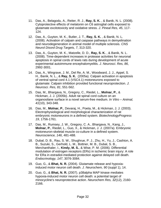- 11. Das, A., Belagodu, A., Reiter, R. J., **Ray, S. K.** , & Banik, N. L. (2008). Cytoprotective effects of melatonin on C6 astroglial cells exposed to glutamate excitotoxicity and oxidative stress. *J. Pineal Res, 45*, 117- 124.
- 12. Das, A., Guyton, M. K., Butler, J. T., **Ray, S. K.** , & Banik, N. L. (2008). Activation of calpain and caspase pathways in demyelination and neurodegeneration in animal model of multiple sclerosis. *CNS Neurol Disord Drug Targets, 7*, 313-320.
- 13. Das, A., Guyton, M. K., Matzelle, D. D., **Ray, S. K.** , & Banik, N. L. (2008). Time-dependent increases in protease activities for neuronal apoptosis in spinal cords of lewis rats during development of acute experimental autoimmune encephalomyelitis. *J. Neurosci. Res, 86*, 2992-3001.
- 14. Das, A., Wingrave, J. M., Del Re, A. M., Woodward, J. J., Appel, S. H., Banik, N. L., & **Ray, S. K.** (2005a). Calpain activation in apoptosis of ventral spinal cord 4.1 (VSC4.1) motoneurons exposed to glutamate: Calpain inhibition provided functional neuroprotection. *J. Neurosci. Res, 81*, 551-562.
- 15. Das, M., Bhargava, N., Gregory, C., Riedel, L., **Molnar, P.**, & Hickman, J. J. (2005b). Adult rat spinal cord culture on an organosilane surface in a novel serum-free medium. *In Vitro – Animal, 41*(10), 343-348.
- 16. Das, M., **Molnar, P.**, Devaraj, H., Poeta, M., & Hickman, J. J. (2003). Electrophysiological and morphological characterization of rat embryonic motoneurons in a defined system. *BiotechnologyProgress 19*, 1756-1761.
- 17. Das, M., Rumsey, J. W., Gregory, C. A., Bhargava, N., Kang, J., **Molnar, P.**, Riedel, L., Guo, X., & Hickman, J. J. (2007a). Embryonic motoneuron-skeletal muscle co-culture in a defined system. *Neuroscience, 146*, 481-488.
- 18. Dubal, D. B., Rau, S. W., Shughrue, P. J., Zhu, H., Yu, J., Cashion, A. B., Suzuki, S., Gerhold, L. M., Bottner, M. B., Dubal, S. B., Merchanthaler, I., **Kindy, M. S.**, & Wise, P. M. (2006). Differential modulation of estrogen receptors (ERs) in ischemic brain injury: A role for ERa in estradiol-mediated protection against delayed cell death. *Endocrinology, 147*, 3076-3084.
- 19. Guo, G., & **Bhat, N. R.** (2004). Glutamate release and hypoxiainduced motor neuron cell death. *J. Neurochem, 90* (suppl 1), 14.
- 20. Guo, G., & **Bhat, N. R.** (2007). p38alpha MAP kinase mediates hypoxia-induced motor neuron cell death: a potential target of minocycline's neuroprotective action. *Neurochem Res, 32*(12), 2160- 2166.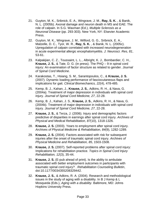- 21. Guyton, M. K., Sribnick, E. A., Wingrave, J. M., **Ray, S. K.** , & Banik, N. L. (2005b). Axonal damage and neuron death in MS and EAE: The role of calpain. In S.G. Waxman (Ed.), *Multiple Sclerosis as a Neuronal Disease* (pp. 293-303). New York, NY: Elsevier Academic Press.
- 22. Guyton, M. K., Wingrave, J. M., Wilford, G. G., Sribnick, E. A., Matzelle, D. C., Tyor, W. R., **Ray, S. K.** , & Banik, N. L. (2005c). Upregulation of calpain correlated with increased neurodegeneration in acute experimental allergic encephalomyelitis. *J. Neurosci. Res, 81*, 53-61.
- 23. Kalpakjian, C. Z., Toussaint, L. L., Albright, K. J., Bombardier, C. H., **Krause, J. S.**, & Tate, D. G. (in press). The PHQ – 9 in spinal cord injury: An examination of factor structure as related to gender. *Journal of Spinal Cord Medicine*.
- 24. Karakostas, T., Hsiang, S. M., Sarantopoulos, C., & **Krause, J. S.** (2007). Dynamic loading performance of fasciocutaneous flaps and implications for gait. *Clinical Biomechanics, 22*(4), 478-485.
- 25. Kemp, B. J., Kahan, J., **Krause, J. S.**, Adkins, R. H., & Nava, G. (2004a). Treatment of major depression in individuals with spinal cord injury. *Journal of Spinal Cord Medicine, 27*, 22-28.
- 26. Kemp, B. J., Kahan, J. S., **Krause, J. S.**, Adkins, R. H., & Nava, G. (2004b). Treatment of major depression in individuals with spinal cord injury. *Journal of Spinal Cord Medicine, 27*, 22-28.
- 27. **Krause, J. S.**, & Terza, J. (2006). Injury and demographic factors predictive of disparities in earnings after spinal cord injury. *Archives of Physical and Medical Rehabilitation, 87*(10), 1318-1326.
- 28. **Krause, J. S.** (2003). Years to employment after spinal cord injury. *Archives of Physical Medicine & Rehabilitation, 84*(9), 1282-1289.
- 29. **Krause, J. S.** (2004). Factors associated with risk for subsequent injuries after the onset of traumatic spinal cord injury. *Archives of Physical Medicine and Rehabilitation, 85*, 1503-1508.
- 30. **Krause, J. S.** (2007). Self-reported problems after spinal cord injury: Implications for rehabilitation practice. *Topics in Spinal Cord Injury Rehabilitation, 12*(3), 35-44.
- 31. **Krause, J. S.** (E-pub ahead of print). Is the ability to ambulate associated with better employment outcomes in participants with traumatic spinal cord injury? . *Rehabilitation Counseling Bulletin*, doi:10.1177/0034355208329442.
- 32. **Krause, J. S.**, & Adkins, R. A. (2004). Research and methodological issues in the study of aging with a disability. In B J Kemp & L Mosqueda (Eds.), *Aging with a disability*. Baltimore, MD: Johns Hopkins University Press.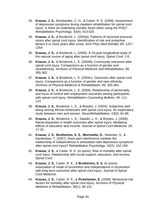- 33. **Krause, J. S.**, Bombardier, C. H., & Carter, R. E. (2008). Assessment of depressive symptoms during inpatient rehabilitation for spinal cord injury: Is there an underlying somatic factor when using the PHQ? *Rehabilitation Psychology, 53*(4), 513-520.
- 34. **Krause, J. S.**, & Broderick, L. (2004a). Patterns of recurrent pressure ulcers after spinal cord injury: Identification of risk and protective factors 5 or more years after onset. *Arch Phys Med Rehabil, 85*, 1257- 1264.
- 35. **Krause, J. S.**, & Broderick, L. (2005). A 25-year longitudinal study of the natural course of aging after spinal cord injury. *Spinal Cord*, 1-8.
- 36. **Krause, J. S.**, & Broderick, L. E. (2004b). Community outcomes after spinal cord injury: Comparisons as a function of gender and race/ethnicity. *Archives of Physical Medicine and Rehabilitation, 85*, 355-362.
- 37. **Krause, J. S.**, & Broderick, L. E. (2004c). Outcomes after spinal cord injury: Comparisons as a function of gender and race ethnicity. *Archives of Physical Medicine & Rehabilitation, 85*, 355-362.
- 38. **Krause, J. S.**, & Broderick, L. E. (2006). Relationship of personality and locus of control with employment outcomes among participants with spinal cord injury. *Rehabilitation Counseling Bulletin, 49*, 111- 114.
- 39. **Krause, J. S.**, Broderick, L. E., & Broyles, J. (2004). Subjective wellbeing among African-Americans with spinal cord injury: An exploratory study between men and women. *NeuroRehabilitation, 19*(2), 81-89.
- 40. **Krause, J. S.**, Broderick, L. E., Saladin, L. K., & Broyles, J. (2006). Racial disparities in health outcomes after spinal injury: Mediating effects of education and income. *Journal of Spinal Cord Medicine, 29*, 17-25.
- 41. **Krause, J. S.**, **Brotherton, S. S.**, **Morrisette, D.**, Newman, S., & Karakostas, T. (2007). Does pain interference mediate the relationship of independence in ambulation with depressive symptoms after spinal cord injury? *Rehabilitation Psychology, 52*(2), 162-169.
- 42. **Krause, J. S.**, & Carter, R. E. (in press). Risk of mortality after spinal cord injury: Relationship with social support, education, and income. *Spinal Cord*.
- 43. **Krause, J. S.**, Carter, R. E., & **Brotherton, S. S.** (in press). Association of mode of locomotion and independence in locomotion with long-term outcomes after spinal cord injury. *Journal of Spinal Cord Medicine*.
- 44. **Krause, J. S.**, Carter, R. E., & **Pickelsimer, E.** (2009). Behavioral risk factors for mortality after spinal cord injury. *Archives of Physical Medicine & Rehabilitation, 90*(1), 95-101.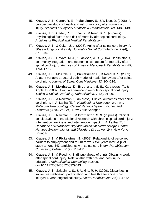- 45. **Krause, J. S.**, Carter, R. E., **Pickelsimer, E.**, & Wilson, D. (2008). A prospective study of health and risk of mortality after spinal cord injury. *Archives of Physical Medicine & Rehabilitation, 89*, 1482-1491.
- 46. **Krause, J. S.**, Carter, R. E., Zhai, Y., & Reed, K. S. (in press). Psychological factors and risk of mortality after spinal cord injury. *Archives of Physical and Medical Rehabilitation*.
- 47. **Krause, J. S.**, & Coker, J. L. (2006). Aging after spinal cord injury: A 30-year longitudinal study. *Journal of Spinal Cord Medicine, 29*(4), 371-376.
- 48. **Krause, J. S.**, DeVivo, M. J., & Jackson, A. B. (2004). Health status, community integration, and economic risk factors for mortality after spinal cord injury. *Archives of Physical Medicine & Rehabilitation, 85*, 1764-1773.
- 49. **Krause, J. S.**, McArdle, J. J., **Pickelsimer, E.**, & Reed, K. S. (2009). A latent variable structural path model of health behaviors after spinal cord injury. *Journal of Spinal Cord Medicine, 32*, 104-116.
- 50. **Krause, J. S.**, **Morrisette, D.**, **Brotherton, S. S.**, Karakostas, T., & Apple, D. (2007). Pain interference in ambulatory spinal cord injury. *Topics in Spinal Cord Injury Rehabilitation, 12*(3), 91-96.
- 51. **Krause, J. S.**, & Newman, S. (in press). Clinical outcomes after spinal cord injury. In A. Lajtha (Ed.), *Handbook of Neurochemistry and Molecular Neurobiology: Central Nervous System Injuries and Disorders* (3 ed., Vol. 24). New York: Springer.
- 52. **Krause, J. S.**, Newman, S., & **Brotherton, S. S.** (in press). Clinical considerations in translational research with chronic spinal cord injury: Intervention readiness and intervention impact. In A. Lajtha (Ed.), *Handbook of Neurochemistry and Molecular Neurobiology: Central Nervous System Injuries and Disorders* (3 ed., Vol. 24). New York: Springer.
- 53. **Krause, J. S.**, & **Pickelsimer, E.** (2008). Relationship of perceived barriers to employment and return to work five years later: A pilot study among 343 participants with spinal cord injury. *Rehabilitation Counseling Bulletin, 51*(2), 118-121.
- 54. **Krause, J. S.**, & Reed, K. S. (E-pub ahead of print). Obtaining work after spinal cord injury: Relationship with pre- and post-injury education. *Rehabilitation Counseling Bulletin*, doi:10.1177/0034355208329443.
- 55. **Krause, J. S.**, Saladin, L. S., & Adkins, R. H. (2009). Disparities in subjective well-being, participation, and health after spinal cord injury:A 6-year longitudinal study. *NeuroRehabilitation, 24*(1), 47-56.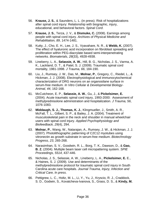- 56. **Krause, J. S.**, & Saunders, L. L. (in press). Risk of hospitalizations after spinal cord injury: Relationship with biographic, injury, educational, and behavioral factors. *Spinal Cord*.
- 57. **Krause, J. S.**, Terza, J. V., & **Dismuke, C.** (2008). Earnings among people with spinal cord injury. *Archives of Physical Medicine and Rehabilitation, 89*, 1474-1481.
- 58. Kutty, J., Cho, E. H., Lee, J. S., Vyavahare, N. R., & **Webb, K.** (2007). The effect of hyaluronic acid incorporation on fibroblast spreading and proliferation within PEG-diacrylate based semi-interpenetrating networks. *Biomaterials, 28*(33), 4928-4938.
- 59. Lineberry, L. A., **Selassie, A. W.**, Hill, B. G., Nicholas, J. S., Varma, A. K., Lackland, D. T., & Patel, S. J. (2009). Traumatic spinal cord mortality, 1981-1998. *J Trauma, 66*, 184-190.
- 60. Liu, J., Rumsey, J. W., Das, M., **Molnar, P.**, Gregory, C., Riedel, L., & Hickman, J. J. (2008). Electrophysiological and immunocytochemical characterization of DRG neurons on an organosilane surface in serum-free medium. *In Vitro Cellular & Developmental Biology-Animal, 44*, 162-168.
- 61. McCutcheon, E. P., **Selassie, A. W.**, Gu, J., & **Pickelsimer, E.**  (2004). Acute traumatic spinal cord injury, 1993-2000: Assessment of methylprednisolone administration and hospitalization. *J Trauma, 56*, 1076-1083.
- 62. **Middaugh, S. J., Thomas, K. J.**, Klingmueller, J., Smith, A. R., McFall, T. L., Gilbert, S. P., & Bailey, J. A. (2004). Treatment of musculoskeletal pain in the neck and shoulder in manual wheelchair users with spinal cord injury. *Applied Psychophysiology and Biofeedback, 29*(4), 294.
- 63. **Molnar, P.**, Wang, W., Natarajan, A., Rumsey, J. W., & Hickman, J. J. (2007). Photolithographic patterning of C2C12 myotubes using vitronectin as growth substrate in serum-free medium. *Biotechnology Progress, 23*, 265-268.
- 64. Narasimhan, S. V., Goodwin, R. L., Borg, T. K., Dawson, D., & **Gao, B. Z.** (2004). Multiple beam laser cell micropattering system. *SPIE Proceedings, 5514*, 437-446.
- 65. Nicholas, J. S., Selassie, A. W., Lineberry, L. A., **Pickelsimer, E.** E., & Haines, S. J. (2009). Use and determinants of the methylprednisolone protocol for traumatic spinal cord injury in South Carolina acute care hospitals. *Journal Trauma, Injury, Infection and Critical Care, In press*.
- 66. Pettigrew, L. C., Holtz, M. L., Li, Y., Yu, J., Kryscio, R. J., Craddock, S. D., Godwin, S., Kovatcheva-Ivanova, S., Grass, D. S., & **Kindy, M.**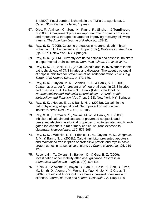**S.** (2009). Focal cerebral ischemia in the TNFa-transgenic rat. *J. Cereb. Blow Flow and Metab, In press*.

- 67. Qiao, F., Atkinson, C., Song, H., Pannu, R., Singh, I., & **Tomlinson, S**. (2006). Complement plays an important role in spinal cord injury and represents a therapeutic target for improving recovery following trauma. *The American Journal of Pathology, 169*(3).
- 68. **Ray, S. K.** (2005). Cysteine proteases in neuronal death in brain ischemia. In U. Lendeckel & N. Hooper (Eds.), *Proteases in the Brain* (pp. 63-77). New York, NY: Springer.
- 69. **Ray, S. K.** (2006). Currently evaluated calpain and caspase inhibitors in experimental brain ischemia. *Curr. Med. Chem, 13*, 3425-3440.
- 70. **Ray, S. K.** , & Banik, N. L. (2003). Calpain and its involvement in the pathophysiology of CNS injuries and diseases: Therapeutic potential of calpain inhibitors for prevention of neurodegeneration. *Curr. Drug Target CNS Neurol. Disord, 2*, 173-189.
- 71. **Ray, S. K.** , Guyton, M. K., Sribnick, E. A., & Banik, N. L. (2006). Calpain as a target for prevention of neuronal death in CNS injuries and diseases. In A. Lajtha & N.L. Banik (Eds.), *Handbook of Neurochemistry and Molecular Neurobiology – Neural Protein Metabolism and Function* (Vol. 7, pp. 1-23). New York, NY: Springer.
- 72. **Ray, S. K.** , Hogan, E. L., & Banik, N. L. (2003a). Calpain in the pathophysiology of spinal cord: Neuroprotection with calpain inhibitors. *Brain Res. Rev, 42*, 169-185.
- 73. **Ray, S. K.** , Karmakar, S., Nowak, M. W., & Banik, N. L. (2006). Inhibitors of calpain and caspase-3 prevented apoptosis and preserved electrophysiological properties of voltage-gated and ligandgated ion channels in rat primary cortical neurons exposed to glutamate. *Neuroscience, 139*, 577-595.
- 74. **Ray, S. K.** , Matzelle, D. D., Sribnick, E. A., Guyton, M. K., Wingrave, J. M., & Banik, N. L. (2003b). Calpain inhibitor prevented apoptosis and maintained transcription of proteolipid protein and myelin basic protein genes in rat spinal cord injury. *J . Chem. Neuroanat., 26*, 119- 124.
- 75. Rosenbalm, T., Owens, S., Bakken, D., & **Gao, B. Z.** (2006). Investigation of cell viability after laser guidance. *Progress in Biomedical Optics and Imaging, 7*(7), 608418.
- 76. Rubin, J., Schwartz, Z., Boyan, B., Fan, X., Case, N., Sen, B., Drab, M., Smith, D., Aleman, M., Wong, K., **Yao, H.**, Jo, H., & Gross, T. (2007). Caveolin-1 knock-out mice have increased bone size and stiffness. *Journal of Bone and Mineral Research, 22*, 1408-1418.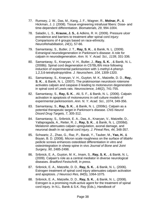- 77. Rumsey, J. W., Das, M., Kang, J. F., Wagner, R., **Molnar, P.**, & Hickman, J. J. (2008). Tissue engineering intrafusal fibers: Dose- and time-dependent differentiation. *Biomaterials, 29*, 994-1004.
- 78. Saladin, L. S., **Krause, J. S.**, & Adkins, R. H. (2009). Pressure ulcer prevalence and barriers to treatment after spinal cord injury: Comparisons of 4 groups based on race-ethnicity. *NeuroRehabilitation, 24*(1), 57-66.
- 79. Samantaray, S., Butler, J. T., **Ray, S. K.** , & Banik, N. L. (2009). Extranigral neurodegeneration in Parkinson's disease: A role for calpain in neurodegeneration. *Ann. N. Y. Acad. Sci., 1139*, 331-336*.*
- 80. Samantaray, S., Knaryan, V. H., Butler, J., **Ray, S. K.** , & Banik, N. L. (2008b). Spinal cord degeneration in C57BL/6N mice following induction of experimental parkinsonism with 1-methyl-4-phenyl-1,2,3,6-tetrahydropyridine. *J. Neurochem, 104*, 1309-1320.
- 81. Samantaray, S., Knaryan, V. H., Guyton, M. K., Matzelle, D. D., **Ray, S. K.** , & Banik, N. L. (2007). The prakinsonian neurotoxin rotenone activates calpain and caspase-3 leading to motoneuron degeneration in spinal cord of Lewis rats. *Neuroscience, 146*(2), 741-755.
- 82. Samantaray, S., **Ray, S. K.** , Ali, S. F., & Banik, N. L. (2006). Calpain activation in apoptosis of motoneurons in cell culture models of experimental parkinsonism. *Ann. N. Y. Acad. Sci., 1074*, 349-356.
- 83. Samantaray, S., **Ray, S. K.** , & Banik, N. L. (2008c). Calpain as a potential therapeutic target in Parkinson's disease. *CNS Neurol Disord Drug Targets, 7*, 305-312.
- 84. Samantaray, S., Sribnick, E. A., Das, A., Knaryan, V., Matzelle, D., Yallapragada, A., Reiter, R. J., **Ray, S. K.** , & Banik, N. L. (2008d). Melatonin attenuates calpain upregulation, axonal damage, and neuronal death in rat spinal cord injury. *J. Pineal Res, 44*, 348-357.
- 85. Schwartz, Z., Zhao, G., Raz, P., Barak, Y., Tauber, M., **Yao, H.**, & Boyan, B. D. (2008). Micron scale roughness on the surface of ti6al4v pedicle screws enhances osteoblast differentiation in vitro and osteointegration in sheep spine in vivo *Journal of Bone and Joint Surgery, 90*, 2485-2498.
- 86. Sribnick, E. A., Guyton, M. K., Imam, S., **Ray, S. K.** , & Banik, N. L. (2009). Calpain's role as a central mediator in diverse neurological diseases. *Bradford Festschrift, In press*.
- 87. Sribnick, E. A., Matzelle, D. D., **Ray, S. K.** , & Banik, N. L. (2006). Estrogen treatment of spinal cord injury attenuates calpain activation and apoptosis. *J Neurosci Res, 84*(5), 1064-1075.
- 88. Sribnick, E. A., Matzelle, D. D., **Ray, S. K.** , & Banik, N. L. (2008). Estrogen is a promising multi-active agent for the treatment of spinal cord injury. In N.L. Banik & S.K. Ray (Eds.), *Handbook of*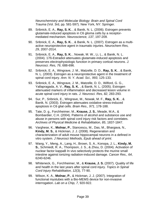*Neurochemistry and Molecular Biology: Brain and Spinal Cord Trauma* (Vol. 3rd, pp. 581-597). New York, NY: Springer.

- 89. Sribnick, E. A., **Ray, S. K.** , & Banik, N. L. (2006). Estrogen prevents glutamate-induced apoptosis in C6 glioma cells by a receptormediated mechanism. *Neuroscience, 137*, 197-209.
- 90. Sribnick, E. A., **Ray, S. K.** , & Banik, N. L. (2007). Estrogen as a multiactive neuroprotective agent in traumatic injuries. *Neurochem Res, 29*, 2007-2014.
- 91. Sribnick, E. A., **Ray, S. K.** , Nowak, M. W., Li, L., & Banik, N. L. (2004). 17ß-Estradiol attenuates glutamate-induced apoptosis and preserves electrophysiologic function in primary cortical neurons. *J. Neurosci. Res, 76*, 688-696.
- 92. Sribnick, E. A., Wingrave, J. M., Matzelle, D. D., **Ray, S. K.** , & Banik, N. L. (2003). Estrogen as a neuroprotective agent in the treatment of spinal cord injury. *Ann. N. Y. Acad. Sci., 993*, 125-133.
- 93. Sribnick, E. A., Wingrave, J. M., Matzelle, D. D., Wilford, G. G., Yallapragada, A. V., **Ray, S. K.** , & Banik, N. L. (2005). Estrogen attenuated markers of inflammation and decreased lesion volume in acute spinal cord injury in rats. *J. Neurosci. Res, 82*, 283-293.
- 94. Sur, P., Sribnick, E., Wingrave, M., Nowak, M. F., **Ray, S. K.** , & Banik, N. (2003). Estrogen attenuates oxidative stress-induced apoptosis in C6 glial cells. *Brain Res., 971*, 178-188.
- 95. Tate, D. g., Forchheimer, M., **Krause, J. S.**, Meade, M.A., & Bombardier, C.H. (2004). Patterns of alcohol and substance use and abuse in persons with spinal cord injury risk factors and correlates. *Archives of Physical Medicine & Rehabilitation, 85*, 1837-1847.
- 96. Varghese, K., **Molnar, P.**, Stancescu, M., Das, M., Bhargava, N., **Kindy, M. S.**, & Hickman, J. J. (2008). Regeneration and characterization of adult mouse hippocampal neurons in a defined in vitro system. *J Neurosci Methods, Epub ahead of print*.
- 97. Wang, Y., Meng, A., Lang, H., Brown, S. A., Konopa, J. L., **Kindy, M. S.**, Schmiedt, R. A., Thompson, J. S., & Zhou, D. (2004). Activation of nuclear factor kappaB In vivo selectively protects the murine small intestine against ionizing radiation-induced damage. *Cancer Res., 64*, 6240-6246.
- 98. Whiteneck, G., Forchheimer, M., & **Krause, J. S.** (2007). Quality of life and health in the last years after spinal cord injury. *Topics in Spinal Cord Injury Rehabilitation, 12*(3), 77-90.
- 99. Wilson, K. A., **Molnar, P.**, & Hickman, J. J. (2007). Integration of functional myotubes with a Bio-MEMS device for non-invasive interrogation. *Lab on a Chip, 7*, 920-922.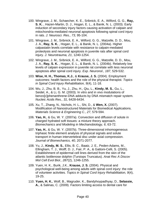- 100. Wingrave, J. M., Schaecher, K. E., Sribnick, E. A., Wilford, G. G., **Ray, S. K.** , Hazen-Martin, D. J., Hogan, E. L., & Banik, N. L. (2003). Early induction of secondary injury factors causing activation of calpain and mitochondria-mediated neuronal apoptosis following spinal cord injury in rats. *J. Neurosci. Res., 73*, 95-104.
- 101. Wingrave, J. M., Sribnick, E. A., Wilford, G. G., Matzelle, D. D., Mou, J. A., **Ray, S. K.** , Hogan, E. L., & Banik, N. L. (2004a). Higher calpastatin levels correlate with resistance to calpain-mediated proteolysis and neuronal apoptosis in juvenile rats after spinal cord injury. *J. Neurotrauma, 21*, 1240-1254.
- 102. Wingrave, J. M., Sribnick, E. A., Wilford, G. G., Matzelle, D. D., Mou, J. A., **Ray, S. K.** , Hogan, E. L., & Banik, N. L. (2004b). Relatively low levels of calpain expression in juvenile rat correlate with less neuronal apoptosis after spinal cord injury. *Exp. Neuronol., 187*, 529-532.
- 103. **Wise, H. H., Thomas, K.J.**, & **Krause, J. S.** (2004). Employment outcomes: health factors and the role of the physical therapist. *Topics in Spinal Cord Injury Rehabilitation, 9*(4), 11-18.
- 104. Wu, J., Zhu, B. B., Yu, J., Zhu, H., Qiu, L., **Kindy, M. S.**, Gu, L., Seidel, A., & Li, G. M. (2003). In vitro and in vivo modulations of benzo[c]phenanthrene-DNA adducts by DNA mismatch repair system. *Nucleic Acids Res., 31*, 6428-6434.
- 105. Xu, T., Zhang, N., Nichols, H. L., Shi, D., & **Wen, X.** (2007). Modification of Nanostructured Materials for Biomedical Applications. *Materials Science & Engineering C., 27*, 579-594.
- 106. **Yao, H.**, & Gu, W. Y. (2007a). Convection and diffusion of solute in charged hydrated soft tissues: a mixture theory approach. *Biomechanics and Modeling in Mechanobiology, 6*, 63-72.
- 107. **Yao, H.**, & Gu, W. Y. (2007b). Three-dimensional inhomogeneous triphasic finite element analysis of physical signals and solute transport in human intervertebral disc under axial compression. *Journal of Biomechanics, 40*, 2071-2077.
- 108. Yu, J., **Kindy, M. S.**, Ellis, B. C., Baatz, J. E., Peden-Adams, M., Ellingham, T. J., Wolff, D. J., Fair, P. A., & Gattoni-Celli, S. (2005). Establishment of epidermal cell lines derived from the skin of the atlantic bottlenose dolphin (Tursiops Truncatus). *Anat Rec A Discov Mol Cell Evol Biol., 287*(2), 1246-1255.
- 109. Yuen, H. K., Burik, J.K., **Krause, J. S.** (2004). Physical and psychological well-being among adults with spinal cord injury: the role of volunteer activities. *Topics in Spinal Cord Injury Rehabilitation, 9*(4), 19-25.
- 110. **Yuen, H. K.**, Wolf, B., Magruder, K., Bandyhoypadhyay, D., **Selassie, A.**, & Salinas, C. (2009). Factors limiting access to dental care for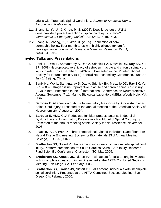adults with Traumatic Spinal Cord Injury. *Journal of American Dental Association, Forthcoming*.

- 111. Zhang, L., Yu, J., & **Kindy, M. S.** (2005). Does knockout of JNK3 gene provide a protective action in spinal cord injury of mice? *International J. Emergency Critical Care Med., 2*, 497-503.
- 112. Zhang, N., Zhang, C., & **Wen, X.** (2005). Fabrication of semipermeable hollow fiber membranes with highly aligned texture for nerve guidance. *Journal of Biomedical Materials Research: Part 1, 75*(4), 941-949.

#### **Invited Talks and Presentations**

- 1. Banik NL, Wei L, Samantaray S, Das A, Sribnick EA, Matzelle DD, **Ray SK**, Yu SP (2008) Neuroprotective efficacy of estrogen in acute and chronic spinal cord injury in rats (Poster Number: P2-03-07). Presented in the 3<sup>rd</sup> International Society for Neurochemistry (ISN) Special Neurochemistry Conference, June 27 - July 1, Beijing, China.
- 2. Banik NL, Wei L, Samantaray S, Das A, Sribnick EA, Matzelle DD, **Ray SK**, Yu SP (2008) Estrogen is neuroprotective in acute and chronic spinal cord injury  $(SCI)$  in rats. Presented in the  $9<sup>th</sup>$  International Conference on Neuroprotective Agents, September 7-11, Marine Biological Laboratory (MBL), Woods Hole, MA, USA.
- 3. **Barbosa E.** Attenuation of Acute Inflammatory Response by Atorvastatin after Spinal Cord Injury. Presented at the annual meeting of the American Society of Neurochemistry, August 14, 2004.
- 4. **Barbosa E.** HMG-CoA Reductase Inhibitor protects against Endothelial Dysfunction and Inflammatory Disease in a Rat Model of Spinal Cord Injury. Presented at the annual meeting of the Society for Neuroscience, November 12, 2005.
- 5. Beachley, V., & **Wen, X**. Three Dimensional Aligned Individual Nano-fibers For Neural Tissue Engineering; Society for Biomaterials 33rd Annual Meeting, Chicago, IL, USA (2007)
- 6. **Brotherton SS,** Nietert PJ. Falls among individuals with incomplete spinal cord injury. Platform presentation at: South Carolina Spinal Cord Injury Research Fund Scientific Conference; Charleston, SC, May 2005.
- 7. **Brotherton SS, Krause JS**, Nietert PJ. Risk factors for falls among individuals with incomplete spinal cord injury. Presented at the APTA Combined Sections Meeting; San Diego, CA, February 2006.
- 8. **Brotherton SS, Krause JS**, Nietert PJ. Falls among individuals with incomplete spinal cord injury Presented at the APTA Combined Sections Meeting; San Diego, CA, February 2006.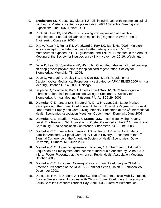- 9. **Brotherton SS**, Krause JS, Nietert PJ Falls in individuals with incomplete spinal cord injury. Poster accepted for presentation: APTA Scientific Meeting and Exposition; June 2007; Denver, CO.
- 10. Cribb RC, Lee JS, and **Webb K**. Cloning and expression of bioactive recombinant L1 neural cell adhesion molecule (Regenerate World Tissue Engineering Congress 2006).
- 11. Das A, Pava MJ, Reiter RJ, Woodward J, **Ray SK**, Banik NL (2008) Melatonin acts via receptor mediated pathway to attenuate apoptosis in VSC4.1 motoneurons exposed to  $H_2O_2$ , glutamate, and TNF- $\alpha$ . Presented in the Annual Meeting of the Society for Neuroscience (SfN), November 15-19, Washington, DC.
- 12. Datar K, Lee JS, Vyavahare NR, **Webb K**. Controlled release hydrogel coatings on deep groove polymer fibers for spinal cord regeneration. Society for Biomaterials; Memphis, TN, 2005.
- 13. Dean D, Vertegel A, Dooley RL, and **Gao BZ.** "Matrix Regulation of Cardiomyocyte Mechanical Properties Investigated by AFM," BMES 2006 Annual Meeting, October 11-14, 2006, Chicago.
- 14. Delphine D, Gourdie R, Borg T, Dooley L and **Gao BZ**, "AFM Investigation of Fibroblast-Fibroblast Interactions on Collagen Substrates," Society for Biomaterials Annual Meeting, Pittsburg, PA, April 26-29, 2006.
- **15. Dismuke, C.E.** (presenter), Bradford, W.D., & **Krause. J.S.** Labor Market Participation of the Spinal Cord Injured: Effects of Disability Payments, Spousal Labor-Market Supply and Care-Giving Intensity. Presented at the  $6<sup>th</sup>$  International Health Economics Association Meetings, Copenhagen, Denmark, June 2007.
- 16. **Dismuke, C.E.**, Bradford, W.D., & **Krause, J.S.** Income Below the Poverty Level: The Reality of SCI Households. Poster Presented at the 2<sup>nd</sup> Annual Spinal Cord Injury Fund Association Conference, Charleston, SC. June 2008.
- 17. **Dismuke, C.E.** (presenter), **Krause, J.S.**, & Terza, J.P. Why Do So Many Families Affected By Spinal Cord Injury Live in Poverty? Presented at the 2<sup>nd</sup> Biennial Conference of the American Society of Health Economists, Duke University, Durham, NC, June 2008.
- 18. **Dismuke, C.E.**, Jones, W. (presenter), **Krause, J.S.** The Effect of Education Acquisition on Employment and Income of Individuals Affected by Spinal Cord Injury. Poster Presented at the American Public Health Association Meetings October 2008.
- 19. **Dismuke, C.E***.* Economic Consequences of Spinal Cord Injury in OEF/OIF Veterans. Presented at the REAP VA Seminar Series, Ralph H. Johnson VA., December 2008.
- 20. Duncan B, River ED, Merlo A, **Fritz SL**. The Effect of Intensive Mobility Training Booster Session in an Individual with Chronic Spinal Cord Injury. University of South Carolina Graduate Student Day. April 2008. Platform Presentation.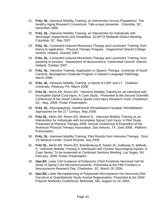- 21. **Fritz, SL.** Intensive Mobility Training, an Intervention Across Populations. The Healthy Aging Research Consortium, Talk-a-topic presenter. Columbia, SC. December 2005.
- 22. **Fritz, SL.** Intensive Mobility Training, an Intervention for Individuals with Neurologic Impairments and Disabilities, SCAPTA Midlands District Meeting. Columbia, SC. May 2007.
- 23. **Fritz, SL.** Constraint-Induced Movement Therapy and Locomotor Training, from theory to application. Physical Therapy Program. Hogeschool Utrecht College; Utrecht, Holland. October 2007.
- 24. **Fritz, SL.** Constraint-Induced Movement Therapy and Locomotor Training, from plasticity to function. Department of Neuroscience- Universiteit Utrecht; Utrecht, Holland. October 2007.
- 25. **Fritz, SL.** Intensive Training: Application to Speech Therapy. University of South Carolina, Neurogenics Graduate Program in Speech-Language Pathology. March 2008.
- 26. **Fritz, SL.** Intensive Mobility Training: a Hybrid of CIMT and LT. Chatham University, Pittsburg, PA. March 2008.
- 27. **Fritz SL**, Merlo AR, Rivers ED. Intensive Mobility Training for an Individual with Incomplete Spinal Cord Injury: A Case Study. Presented at the Second Scientific Conference of the South Carolina Spinal Cord Injury Research Fund, Charleston, SC. May, 2008. Poster Presentation.
- 28. **Fritz, SL.** Neuroplasticity. HealthSouth Rehabilitation Hospital: Rehabilitation Approaches for the 21<sup>st</sup> Century. May 2008.
- 29. **Fritz SL**, Merlo AR, Rivers ED, Watson E. Intensive Mobility Training as an Intervention for Individuals with Incomplete Spinal Cord Injury: A Pilot Study. Presented at Physical Therapy 2008: Annual Conference & Exposition of the American Physical Therapy Association, San Antonio, TX. June 2008. Platform Presentation.
- 30. **Fritz, SL.** Intensive Mobility Training: Pilot Results from Intensive Therapy. Dorn VA Medical Center, Grand Rounds. July 2008
- 31. **Fritz SL**, Merlo AR, Rivers ED, Brandenburg B, Sweet JK, Galloway D, deBode S. Intensive Mobility Training in Individuals with Chronic Neurological Injuries: A Case Series. To be presented at Combined Sections Meeting, Las Vegas, NV. February, 2009. Poster Presentation.
- 32. **Gao BZ.** Laser Cell Guidance of Embryonic Chick Forebrain Neuronal Cell for Study of Spinal Cord Microenvironments. Presented at the Fifth Frontiers in Neuroscience Research Day, Charleston, SC; March 19, 2004.
- 33. **Gao BZ.** Laser Micropatterning of Polylactide Microspheres into Neuronal-Glial Coculture to Quantitatively Study Axonal Regeneration. Presented at the 2004 Polymer Networks Conference; Bethesda, MD, August 15-19, 2004.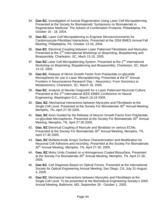- 34. **Gao BZ.** Investigation of Axonal Regeneration Using Laser Cell Micropatterning. Presented at the Society for Biomaterials' Symposium on Biomaterials in Regenerative Medicine: The Advent of Combination Products; Philadelphia, PA, October 16 - 18, 2004.
- 35. **Gao BZ.** Laser Cell Micropatterning to Engineer Microenvironments for Cardiomyocyte-Fibroblast Interactions. Presented at the 2004 BMES Annual Fall Meeting; Philadelphia, PA, October 13-16, 2004.
- 36. **Gao BZ.** Electrical Coupling between Laser Patterned Fibroblasts and Myocytes. Presented at the 2<sup>nd</sup> International Workshop on Bioprinting, Biopatterning and Bioassembly; Charleston, SC, Mach 13-15, 2005.
- 37. **Gao BZ** Laser Cell Micropatterning System. Presented at the 2<sup>nd</sup> International Workshop on Bioprinting, Biopatterning and Bioassembly; Charleston, SC, Mach 13-15, 2005.
- 38. **Gao BZ.** Release of Nerve Growth Factor from Polylactide-co-glycolide Microspheres for use in Laser Micropatterning. Presented at the 6<sup>th</sup> Annual Frontiers in Neuroscience Research Day – Neuromics: From Genomics to Metabolomics; Charleston, SC, March 18, 2005.
- 39. **Gao BZ.** Analysis of Neurite Outgrowth for a Laser Patterned Neuronal Culture. Presented at the 2<sup>nd</sup> International IEEE EMBS Conference on Neural Engineering; Washington D.C., March 16-19 2005.
- 40. **Gao, BZ.** Mechanical Interactions between Myocytes and Fibroblasts at the Single Cell Level. Presented at the Society For Biomaterials 30<sup>th</sup> Annual Meeting; Memphis, TN, April 27-30 2005.
- 41. **Gao, BZ** Axon Guided by the Release of Neuron Growth Factor from Polylactideco-glycolide Microspheres. Presented at the Society For Biomaterials 30<sup>th</sup> Annual Meeting; Memphis, TN, April 27-30 2005.
- 42. **Gao, BZ** Electrical Coupling of Myocyte and fibroblast on various ECMs. Presented at the Society For Biomaterials 30<sup>th</sup> Annual Meeting; Memphis, TN, April 27-30 2005.
- 43. **Gao, BZ** Multielectrode Arrays Surface Characterization and Modification for Neuronal Cell Adhesive and recording. Presented at the Society For Biomaterials 30<sup>th</sup> Annual Meeting; Memphis, TN, April 27-30, 2005.
- 44. **Gao, BZ** Motor Units Created on a Homogenous Coated Biosurface. Presented at the Society For Biomaterials 30<sup>th</sup> Annual Meeting; Memphis, TN, April 27-30, 2005.
- 45. **Gao BZ.** Cell Diagnosis Based on Optical Forces. Presented at the International Society for Optical Engineering Annual Meeting; San Diego, CA, July 31-August 4, 2005
- 46. **Gao BZ.** Mechanical Interactions between Myocytes and Fibroblasts at the Single Cell Level. To be presented at the Biomedical Engineering Society's 2005 Annual Meeting; Baltimore, MD, September 28 - October 1, 2005.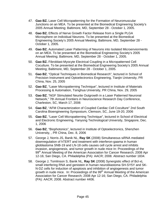- 47. **Gao BZ.** Laser Cell Micropatterning for the Formation of Neuromuscular Junctions on an MEA. To be presented at the Biomedical Engineering Society's 2005 Annual Meeting; Baltimore, MD, September 28 - October 1, 2005.
- 48. **Gao BZ.** Effects of Nerve Growth Factor Release from a Single PLGA Microsphere on Individual Neurons. To be presented at the Biomedical Engineering Society's 2005 Annual Meeting; Baltimore, MD, September 28 - October 1, 2005.
- 49. **Gao BZ.** Automated Laser Patterning of Neurons into Isolated Microenviorments on an MEA. To be presented at the Biomedical Engineering Society's 2005 Annual Meeting; Baltimore, MD, September 28 - October 1, 2005.
- 50. **Gao BZ.** Fibroblast-Myocyte Electrical Coupling in a Micropatterned Cell Coculture. To be presented at the Biomedical Engineering Society's 2005 Annual Meeting; Baltimore, MD, September 28 - October 1, 2005.
- 51. **Gao BZ**, "Optical Techniques in Biomedical Research", lectured in School of Precision Instrument and Optoelectronics Engineering, Tianjin University, PR China, Nov. 25, 2005
- 52. **Gao BZ**, "Laser Micropatterning Technique", lectured in Institute of Materials Processing & Automation, Tsinghua University, PR China, Nov. 29, 2005
- 53. **Gao BZ**, "NGF Stimulated Neurite Outgrowth in a Laser Patterned Neuronal Network," 7th Annual Frontiers in Neuroscience Research Day Conference, Charleston, SC, March 17, 2006
- 54. **Gao BZ**, "AFM Characterization of Coupled Cardiac Cell Coculture" 2nd South Carolina Bioengineering Symposium, Clemson, SC, June 19-20, 2006
- 55. **Gao BZ**, "Laser Cell Micropatterning Technique", lectured in School of Electrical and Electronic Engineering, Yanyong Technological University, Singapore, Dec. 1, 2006
- 56. **Gao BZ**, "Biophotonics", lectured in Institute of Optoelectronics, Shenzhen University, , PR China, Dec. 8, 2006
- 57. George J, Norris JS, Banik NL, **Ray SK** (2008) Simultaneous siRNA mediated downregulation of hTERT and treatment with interferon-gaama in human glioblastoma SNB-19 and LN-18 cells causes cell cycle arrest and inhibits invasion, angiogenesis, and tumor growth in nude mice In: Proceedings of the 99<sup>th</sup> Annual Meeting of the American Association for Cancer Research; 2008 Apr 12-16; San Diego, CA. Philadelphia (PA): AACR; 2008. Abstract number 1834.
- 58. George J, Tomlinson S, Banik NL, **Ray SK** (2008) Synergistic effect of Bcl-xL small interfering RNA and genistein in human neuroblastoma SH-SY5Y and SK-N-DZ cells for induction of apoptosis and inhibition of angiogenesis and tumor growth in nude mice. In: Proceedings of the 99<sup>th</sup> Annual Meeting of the American Association for Cancer Research; 2008 Apr 12-16; San Diego, CA. Philadelphia (PA): AACR; 2008. Abstract number 4406.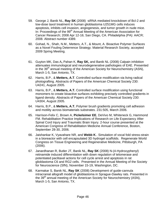- 59. George J, Banik NL, **Ray SK** (2008) siRNA mediated knockdown of Bcl-2 and low-dose taxol treatment in human glioblastoma U251MG cells induces apoptosis, inhibits cell invasion, angiogenesis, and tumor growth in nude mice. In: Proceedings of the 99<sup>th</sup> Annual Meeting of the American Association for Cancer Research; 2008 Apr 12-16; San Diego, CA. Philadelphia (PA): AACR; 2008. Abstract number 4389.
- 60. Gohad, N., Shah, N.M., Metters, A.T., & Mount, A. Bioactive Polymer Surfaces as a Novel Fouling Deterrence Strategy. Material Research Society, accepted 2009 Spring Meeting.
- 61. Guyton MK, Das A**,** Pahan K, **Ray SK,** and Banik NL (2008) Calpain inhibition attenuates immunological and neurodegenerative pathologies of EAE. Presented in the  $39<sup>th</sup>$  annual meeting of the American Society for Neurochemistry (ASN), March 1-5, San Antonio, TX.
- 62. Harris, B.P., & **Metters, A.T**. Controlled surface modification via living radical photografting. Abstracts of Papers of the American Chemical Society 230: U4241, August 2005.
- 63. Harris, B.P., & **Metters, A.T.** Controlled surface modification using functional monomers to create bioactive surfaces exhibiting precisely controlled gradients in ligand density. Abstracts of Papers of the American Chemical Society 230: U4304, August 2005.
- 64. Harris, B.P., & **Metters, A.T.** Polymer brush gradients promoting cell adhesion and motility across biomaterials substrates. 231:505, March 2006.
- 65. Harrison-Felix C, Brown A, **Pickelsimer EE**, DeVivo M, Whiteneck G, Hammond FM. Rehabilitation Practice Implications of Research on Life Expectancy After Spinal Cord Injury and Traumatic Brain Injury. 2-hour course presented at the American Congress of Rehabilitation Medicine Annual Conference, Boston, September 28-30, 2006.
- 66. Jaishankar K, Vyavahare NR, and **Webb K**.. Simulation of vocal fold stress-strain in a bioreactor with cell encapsulated 3D hydrogel scaffolds. Regenerate World Congress on Tissue Engineering and Regenerative Medicine, Pittsburgh, PA (2006).
- 67. Janardhanan R, Butler JT, Banik NL, **Ray SK** (2008) N-(4-Hydroxyphenyl) retinamide induced differentiation with down regulation of telomerase and potentiated paclitaxel actions for cell cycle arrest and apoptosis in rat glioblastoma C6 and RG2 cells. Presented in the Annual Meeting of the Society for Neuroscience (SfN), November 15-19, Washington, DC.
- 68. Karmakar S, Banik NL, **Ray SK** (2008) Development of guide-cannula intracranial allograft model of glioblastoma in Sprague-Dawley rats. Presented in the 39<sup>th</sup> annual meeting of the American Society for Neurochemistry (ASN), March 1-5, San Antonio, TX.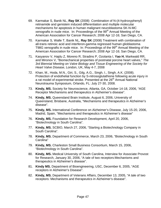- 69. Karmakar S, Banik NL, **Ray SK** (2008) Combination of N-(4-hydroxyphenyl) retinamide and genistein induced differentiation and multiple molecular mechanisms for apoptosis in human malignant neuroblastoma SK-N-MC xenografts in nude mice. In: Proceedings of the 99<sup>th</sup> Annual Meeting of the American Association for Cancer Research; 2008 Apr 12-16; San Diego, CA.
- 70. Karmakar S, Walle T, Banik NL, **Ray SK** (2008) Treatment with combination of all-trans retinoic acid and interferon-gamma regressed human glioblastoma T98G xenografts in nude mice. In: Proceedings of the 99<sup>th</sup> Annual Meeting of the American Association for Cancer Research; 2008 Apr 12-16; San Diego, CA.
- 71. Kasyanov V, Hajdu Z, Moreno R, Stradins P, Ozolanta I, **Yao H**, Markwald RR, and Mironov V, "Biomechanical properties of postnatal porcine heart valves," *The 3rd Biennial Meeting on Valve Biology and Tissue Engineering of the Society for Heart Valve Disease*, London, UK, May 4-7, 2008
- 72. Khan, M., Hoda, M.N., Giri, S., Gilg, A.G., Singh, I., Singh, A.K. (2008). Protection of endothelial function by S-nitrosoglutathione following acute injury in a rat model of experimental stroke. Presented at the 26<sup>th</sup> Annual National Neurotrauma Symposium, Orlando, FL: July 27-30, 2008.
- 73. **Kindy, MS.** Society for Neuroscience, Atlanta, GA, October 14-18, 2006, "AGE Receptor Mechanisms and therapeutics in Alzheimer's disease".
- 74. **Kindy, MS.** Queensland Brain Institute, August 6, 2006, University of Queensland, Brisbane, Australia, "Mechanisms and therapeutics in Alzheimer's disease".
- 75. **Kindy, MS.** International Conference on Alzheimer's Disease, July 15-20, 2006, Madrid, Spain, "Mechanisms and therapeutics in Alzheimer's disease"
- 76. **Kindy, MS.** Foundation for Research Development, April 20, 2006, "Biotechnology in South Carolina".
- 77. **Kindy, MS.** SCBIO, March 27, 2006, "Starting a Biotechnology Company in South Carolina".
- 78. **Kindy, MS.** Department of Commerce, March 23, 2006, "Biotechnology in South Carolina"
- 79. **Kindy, MS.** Charleston Small Business Consortium, March 15, 2006, "Biotechnology in South Carolina".
- 80. **Kindy, MS.** Medical University of South Carolina, Interview for Associate Provost for Research, January 30, 2006, "A tale of two receptors:Mechanisms and therapeutics in Alzheimer's disease".
- 81. **Kindy MS.** Department of Bioengineering, USC, December 6, 2005, "AGE receptors in Alzheimer's Disease".
- 82. **Kindy, MS.** Department of Veterans Affairs, December 13, 2005, "A tale of two receptors: Mechanisms and therapeutics in Alzheimer's disease".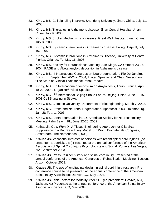- 83. **Kindy, MS**. Cell signaling in stroke, Shandong University, Jinan, China, July 11, 2005.
- 84. **Kindy, MS.** Therapies in Alzheimer's disease, Jinan Central Hospital, Jinan, China, July 9, 2005.
- 85. **Kindy, MS.** Stroke: Mechanisms of disease, Great Wall Hospital, Jinan, China, July 8, 2005.
- 86. **Kindy, MS.** Systemic interactions in Alzheimer's disease, Laling Hospital, July 10, 2005.
- 87. **Kindy, MS.** Systemic interactions in Alzheimer's Disease, University of Central Florida, Orlando, FL, May 16, 2005
- 88. **Kindy, MS.** Society for Neuroscience Meeting, San Diego, CA October 23-27, 2004, RAGE and Abeta amyloid deposition in Alzheimer's disease.
- 89. **Kindy, MS.** II International Congress on Neuroregeneration, Rio De Janeiro, Brazil, September 20-242, 2004, Invited Speaker and Chair, Session on "The State of Clinical Trials for Neuronal Repair"
- 90. **Kindy, MS.** Xth International Symposium on Amyloidosis, Tours, France, April 18-22, 2004, Organizer/Invited Speaker.
- 91. **Kindy, MS**. 2<sup>nd</sup> International Beijing Stroke Forum, Beijing, China, June 13-15, 2003 Cell Signaling in Stroke.
- 92. **Kindy, MS.** Clemson University, Department of Bioengineering, March 7, 2003.
- 93. **Kindy, MS.** Stroke and Neuronal Degeneration, Apoptosis 2003, Luxembourg, Jan. 28-Feb. 1, 2003.
- 94. **Kindy, MS.** Abeta degradation in AD, American Society for Neurochemistry Meeting, Palm Beach, FL, June 22-26, 2002
- 95. Kothapalli, C., & **Wen, X**. A Tissue Engineering Approach for Glial Scar Suppression in a Rat Brain Injury Model. 8th World Biomaterials Congress, Amsterdam, The Netherlands, (2008)
- 96. **Krause JS.** Vocational interests of persons with recent spinal cord injuries. (copresenter: Broderick, L.E.) Presented at the annual conference of the American Association of Spinal Cord Injury Psychologists and Social Workers; Las Vegas, NV, September 2003.
- 97. **Krause JS.** Pressure ulcer history and spinal cord injury. Presented at the annual conference of the American Congress of Rehabilitation Medicine; Tucson, Arizon, October 2003.
- 98. **Krause JS.** The use of longitudinal design in spinal cord injury research. Preconference course to be presented at the annual conference of the American Spinal Injury Association; Denver, CO, May 2004.
- 99. **Krause JS.** Risk Factors for Mortality After SCI. (co-presenters: DeVivo, M.J, Jackson, A.) Presented at the annual conference of the American Spinal Injury Association; Denver, CO, May 2004.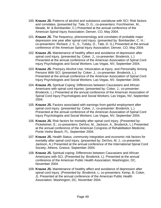- 100. **Krause JS.** Patterns of alcohol and substance use/abuse with SCI: Risk factors and correlates. (presented by: Tate, D. G.; co-presenters: Forchheimer, M., Meade, M. & Bombardier, C.) Presented at the annual conference of the American Spinal Injury Association; Denver, CO, May 2004.
- 101. **Krause JS.** The frequency, phenomenology and correlates of probable major depression one year after spinal cord injury. (presented by: Bombardier, C. H.; co-presenters: Richard, J. S., S., Tulsky, D., Tate, D. G.) Presented at the annual conference of the American Spinal Injury Association; Denver, CO, May 2004.
- 102. **Krause JS.** Maintenance of healthy affect and avoidance of depression after spinal cord injury. (presented by: Coker, J.; co-presenter: Broderick, L.) Presented at the annual conference of the American Association of Spinal Cord Injury Psychologists and Social Workers; Las Vegas, NV, September 2004.
- 103. **Krause JS.** Preinjury Alcohol Use, Intoxication at Injury, and Personality Among Persons With SCI. (presented by: Coker, J.; co-presenter: Broderick, L.) Presented at the annual conference of the American Association of Spinal Cord Injury Psychologists and Social Workers; Las Vegas, NV, September 2004.
- 104. **Krause JS.** Spiritual Coping: Differences between Caucasians and African Americans with spinal cord injuries. (presented by: Coker, J.; co-presenter: Broderick, L.) Presented at the annual conference of the American Association of Spinal Cord Injury Psychologists and Social Workers; Las Vegas, NV, September 2004.
- 105. **Krause JS.** Factors associated with earnings from gainful employment after spinal cord injury. (presented by: Coker, J.; co-presenter: Broderick, L.) Presented at the annual conference of the American Association of Spinal Cord Injury Psychologists and Social Workers; Las Vegas, NV, September 2004.
- 106. **Krause JS.** Risk factors for mortality after spinal cord injury. (Presented by: Pickelsimer, E.; co-presenters: DeVivo, M., Jackson, A., Broderick, L.) Presented at the annual conference of the American Congress of Rehabilitation Medicine; Ponte Vedre Beach, FL, September 2004.
- 107. **Krause JS.** Health Status, community integration and economic risk factors for mortality after spinal cord injury. (presented by: DeVivo, M. J.; co-presenter: Jackson, A.) Presented at the annual conference of the International Spinal Cord Society; Athens, Greece, September 2004.
- 108. **Krause JS.** Spiritual coping: Differences between Caucasians and African Americans with SCI. (Presented by: Broderick, L). Presented at the annual conference of the American Public Health Association; Washington, DC, November 2004.
- 109. **Krause JS.** Maintenance of healthy affect and avoidance of depression after spinal cord injury. (Presented by: Broderick, L; co-presenters: Kemp, B, Coker, J). Presented at the annual conference of the American Public Health Association; Washington, DC, November 2004.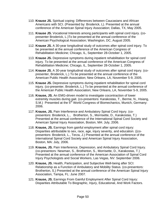- 110. **Krause JS.** Spiritual coping: Differences between Caucasians and African Americans with SCI. (Presented by: Broderick, L). Presented at the annual conference of the American Spinal Injury Association; Dallas, TX, May 2005.
- 111. **Krause JS.** Vocational Interests among participants with spinal cord injury. (copresenter Broderick, L.)To be presented at the annual conference of the American Psychological Association; Washington, DC, August 2005.
- 112. **Krause JS.** A 30-year longitudinal study of outcomes after spinal cord injury. To be presented at the annual conference of the American Congress of Rehabilitation Medicine; Chicago, IL, September 28-October 1, 2005.
- 113. **Krause JS.** Depressive symptoms during inpatient rehabilitation for spinal cord injury. To be presented at the annual conference of the American Congress of Rehabilitation Medicine; Chicago, IL, September 28-October 1, 2005.
- 114. **Krause JS.** A 30-year longitudinal study of outcomes after spinal cord injury. (copresenter, Broderick, L.) To be presented at the annual conference of the American Public Health Association; New Orleans, LA, November 5-9, 2005.
- 115. **Krause JS.** Depressive symptoms during inpatient rehabilitation for spinal cord injury. (co-presenter, Broderick, L.) To be presented at the annual conference of the American Public Health Association; New Orleans, LA, November 5-9, 2005.
- 116. **Krause, JS.** An EMG-driven model to investigate cocontraction of lower extremity muscles during gait. (co-presentors: Karakostas, T., Berme, N., Hsiang, S.M.) Presented at the 5<sup>th</sup> World Congress of Biomechanics, Munich, Germany: 2006.
- 117. **Krause, JS.** Pain Interference and Ambulatory Spinal Cord Injury. (copresentors: Broderick, L., Brotherton, S., Morrisette, D., Karakostas, T.) Presented at the annual conference of the International Spinal Cord Society and American Spinal Injury Association, Boston, MA: July, 2006.
- 118. **Krause, JS.** Earnings from gainful employment after spinal cord injury: Disparities attributable to sex, race, age, injury severity, and education. ((copresentors: Broderick, L., Terza, J.) Presented at the annual conference of the International Spinal Cord Society and American Spinal Injury Association, Boston, MA: July, 2006.
- 119. **Krause, JS.** Pain Interference, Depression, and Ambulatory Spinal Cord Injury. (co-presentors: Newman, S., Brotherton, S., Morrisette, D., Karakostas, T.) Presented at the annual conference of the American Association of Spinal Cord Injury Psychologists and Social Workers, Las Vegas, NV: September 2006.
- 120. **Krause, JS.** Health, Participation, and Subjective Well-being after SCI: Relationship as a Function of Ambulatory and Mobility Status. (co-presentors: Brotherton, S.) Presented at the annual conference of the American Spinal Injury Association, Tampa, FL: June 2007.
- 121. **Krause, JS.** Earnings From Gainful Employment After Spinal Cord Injury: Disparities Attributable To Biographic, Injury, Educational, And Work Factors.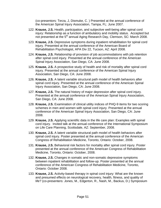(co-presentors: Terza, J, Dismuke, C. ) Presented at the annual conference of the American Spinal Injury Association, Tampa, FL: June 2007.

- 122. **Krause, J.S.** Health, participation, and subjective well-being after spinal cord injury: Relationship as a function of ambulatory and mobility status. Accepted but not presented at the 5<sup>th</sup> annual Aging Research Day, Clemson, SC: March 2008.
- 123. **Krause, J.S.** Depressive symptoms during inpatient rehabilitation for spinal cord injury. Presented at the annual conference of the American Board of Rehabilitation Psychologist, APA Div 22, Tucson, AZ: April 2008.
- 124. **Krause, J.S.** Relationship of provision of job accommodations with job retention after spinal cord injury. Presented at the annual conference of the American Spinal Injury Association, San Diego, CA: June 2008.
- 125. **Krause, J.S.** A prospective study of health and risk of mortality after spinal cord injury. Presented at the annual conference of the American Spinal Injury Association, San Diego, CA: June 2008.
- 126. **Krause, J.S.** A latent variable structural path model of health behaviors after spinal cord injury. Presented at the annual conference of the American Spinal Injury Association, San Diego, CA: June 2008.
- 127. **Krause, J.S.** The natural history of major depression after spinal cord injury. Presented at the annual conference of the American Spinal Injury Association, San Diego, CA: June 2008.
- 128. **Krause, J.S.** Examination of clinical utility indices of PHQ-9 items for two scoring schemes in men and women with spinal cord injury. Presented at the annual conference of the American Spinal Injury Association, San Diego, CA: June 2008.
- 129. **Krause, J.S.** Applying scientific data in the life care plan: Examples with spinal cord injury. Invited talk at the annual conference of the International Symposium on Life Care Planning, Scottsdale, AZ: September, 2008.
- 130. **Krause, J.S.** A latent variable structural path model of health behaviors after spinal cord injury. Poster presented at the annual conference of the American Congress of Rehabilitation Medicine, Toronto, Ontario: October, 2008.
- 131. **Krause, J.S.** Behavioral risk factors for mortality after spinal cord injury. Poster presented at the annual conference of the American Congress of Rehabilitation Medicine, Toronto, Ontario: October, 2008.
- 132. **Krause, J.S.** Changes in somatic and non-somatic depressive symptoms between inpatient rehabilitation and follow-up. Poster presented at the annual conference of the American Congress of Rehabilitation Medicine, Toronto, Ontario: October 2008.
- 133. **Krause, J.S.** Activity-based therapy in spinal cord injury: What are the known and presumed effects on neurological recovery, health, fitness, and quality of life? (co-presenters: Jones, M., Edgerton, R., Nash, M., Backus, D.) Symposium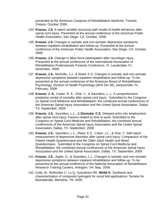presented at the American Congress of Rehabilitation Medicine, Toronto, Ontario: October 2008.

- 134. **Krause, J.S.** A latent variable structural path model of health behaviors after spinal cord injury. Presented at the annual conference of the American Public Health Association, San Diego, CA: October, 2008.
- 135. **Krause, J.S.** Changes in somatic and non-somatic depressive symptoms between inpatient rehabilitation and follow-up. Presented at the annual conference of the American Public Health Association, San Diego, CA: October, 2008.
- 136. **Krause, J.S.** Change in labor force participation after neurologic injury. Presented at the annual conference of the International Association of Rehabilitation Professionals Forensic Conference, Ft. Lauderdale, FL: November, 2008.
- 137. **Krause, J.S.**, McArdle, J.J., & Reed, K.S. Changes in somatic and non-somatic depressive symptoms between inpatient rehabilitation and follow-up. To be presented at the annual conference of the American Board of Rehabilitation Psychology, Division of Health Psychology (APA Div 38), Jacksonville, FL: February, 2009.
- 138. **Krause, J. S.**, Carter, R. E., Zhai, Y., & Saunders, L. L. A comprehensive predictive model of mortality after spinal cord injury. Submitted to the Congress on Spinal Cord Medicine and Rehabilitation, the combined annual conferences of the American Spinal Injury Association and the United Spinal Association, Dallas, TX: September, 2009.
- 139. **Krause, J.S.**, Saunders, L.L., & **Dismuke, C.E.** Delayed entry into employment after spinal cord injury: Factors related to time to work. Submitted to the Congress on Spinal Cord Medicine and Rehabilitation, the combined annual conferences of the American Spinal Injury Association and the United Spinal Association, Dallas, TX: September, 2009.
- 140. **Krause, J.S.**, Saunders, L.L., Reed, K.S., Coker, J.L., & Zhai, Y. Self-report measurement of depressive disorders after spinal cord injury: Comparison of the Patient Health Questionnaire and the Older Adult Health and Mood Questionnaire. Submitted to the Congress on Spinal Cord Medicine and Rehabilitation, the combined annual conferences of the American Spinal Injury Association and the United Spinal Association, Dallas, TX: September, 2009.
- 141. **Krause, J.S.**, Apple, D., & Saunders, L.L. Changes in somatic and non-somatic depressive symptoms between inpatient rehabilitation and follow-up. To be presented at the annual conference of the National Association of Rehabilitation Research Training Centers, Arlington, VA: May, 2009.
- 142. Kutty JK, Reifsnider C, Lu Q, Vyavahare NR, **Webb K**. Synthesis and characterization of composite hydrogels for vocal fold applications. Society for Biomaterials; Memphis, TN, 2005.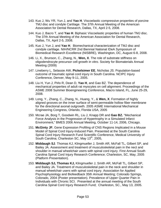- 143. Kuo J, Wu YR, Yun J, and **Yao H**. Viscoelastic compressive properties of porcine TMJ disc and condyle Cartilage. The 37th Annual Meeting of the American Association for Dental Research, Dallas, TX, April 2-5, 2008.
- 144. Kuo J, Bacro T, and **Yao H**. Biphasic Viscoelastic properties of human TMJ disc. The 37th Annual Meeting of the American Association for Dental Research, Dallas, TX, April 2-5, 2008.
- 145. Kuo J, Yun J, and **Yao H**. Biomechanical characterization of TMJ disc and condyle cartilage. NIH/NCRR 2nd Biennial National IDeA Symposium of Biomedical Research Excellence (NISBRE), Washington, DC, August 6-8, 2008.
- 146. Li, X., Brunson, C., Zhang, N., **Wen, X**. The role of substrate stiffness on oligodendrocyte precursor cell growth in vitro. Society for Biomaterials Annual Meeting (2009)
- 147. Lineberry L, Selassie AW, **Pickelsimer EE**, Nicholas JS. Population-based outcome of traumatic spinal cord injury in South Carolina. NCIPC Injury Conference, Denver, May 9-11, 2005.
- 148. Liu H, Yun J, Pirlo R, Dean D, **Yao H**, and Gao BZ. The dependence of mechanical properties of adult rat myocytes on cell alignment. Proceedings of the ASME 2008 Summer Bioengineering Conference, Macro Island, FL, June 25-29, 2008.
- 149. Long, Y., Zhang, C., Zhang, N., Huang, Y., & **Wen, X**. Formation of highly aligned grooves on the inner surface of semi-permeable hollow fiber membrane for the directional axonal outgrowth. 2005 ASME International Mechanical Engineering Congress, Orlando, Florida USA, 2005
- 150. Mcrae JA, Borg T, Goodwin RL, Liu J, Knapp DR and **Gao BZ.** "Mechanical Force Analysis in the Progression of Hypertrophy in a Simulated Infarct Environment," BMES 2006 Annual Meeting, October 11-14, 2006, Chicago.
- 151. **McGinty JF.** Gene Expression Profiling of CNS Regions Implicated in a Mouse Model of Spinal Cord Injury-Induced Pain. Presented at the South Carolina Spinal Cord Injury Research Fund Scientific Conference, Medical University of South Carolina; Charleston SC, May 13<sup>th</sup>, 2005,
- 152. **Middaugh SJ**. Thomas KJ, Klingmueller J, Smith AR, McFall TL, Gilbert SP, and Bailey JA. Assessment and treatment of musculoskeletal pain in the nect and shoulder in manual wheelchair users with spinal cord injury. First Annual South Carolina Spinal Cord Injury Research Conference; Charleston, SC, May, 2005 (Platform Presentation).
- 153. **Middaugh SJ, Thomas KJ,** Klingmueller J, Smith AR, McFall TL, Gilbert SP, and Bailey JA. Treatment of musculoskeletal pain in the neck and shoulder in manual wheelchair users with spinal cord injury. Association for Applied Psychophysiology and Biofeedback 35th Annual Meeting; Colorado Springs, Colorado, 2004 (Poster presentation). Prevalence of Upper Quarter Pain in Individuals with Chronic SCI. Presented at the annual meeting of the South Carolina Spinal Cord Injury Research Fund; Charleston, SC., May 13, 2005.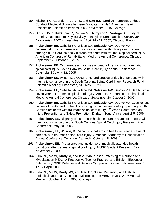- 154. Mitchell PO, Gourdie R, Borg TK, and **Gao BZ.** "Cardiac Fibroblast Bridges Conduct Electrical Signals between Myocyte Islands," American Heart Association Scientific Sessions 2006, November 12-15, Chicago
- 155. Olbrich JM, Satishkumar R, Reukov V, Thompson G, **Vertegel A**. Study of Protein Attachment to Poly-Butyl-Cyanoacrylate Nanoparticles, *Society for Biomaterials 2007 Annual Meeting,* April 18 - 21, **2007**, Chicago, Illinois.
- 156. **Pickelsimer EE**, Gabella BA, Wilson DA, **Selassie AW**, DeVivo MJ. Determination of occurrence and causes of death within five years of injury among South Carolina and Colorado residents with traumatic spinal cord injury. American Congress of Rehabilitation Medicine Annual Conference; Chicago, September 28-October 3, 2005.
- 157. **Pickelsimer EE**. Occurrence and causes of death of persons with traumatic spinal cord injury. South Carolina Spinal Cord Injury Annual Conference; Columbia, SC, May 12, 2005.
- 158. **Pickelsimer EE**, Wilson DA. Occurrence and causes of death of persons with traumatic spinal cord injury. South Carolina Spinal Cord Injury Research Fund Scientific Meeting; Charleston, SC, May 13, 2005.
- 159. **Pickelsimer EE,** Gabella BA, Wilson DA, **Selassie AW**, DeVivo MJ. Death within seven years of traumatic spinal cord injury. American Congress of Rehabilitation Medicine Annual Conference, Chicago, September 28-October 3, 2005.
- 160. **Pickelsimer EE**, Gabella BA, Wilson DA, **Selassie AW**, DeVivo MJ. Occurrence, causes of death, and probability of dying within five years of injury among South Carolina residents with traumatic spinal cord injury. 8<sup>th</sup> World Conference on Injury Prevention and Safety Promotion; Durban, South Africa, April 2-5, 2006.
- 161. **Pickelsimer, EE.** Disparity of patterns in health insurance status of persons with traumatic spinal cord injury. South Carolinal Spinal Cord Injury Research Fund Conference; May 30, 2008.
- 162. **Pickelsimer, EE, Wilson, D.** Disparity of patterns in health insurance status of persons with traumatic spinal cord injury. American Academy of Rehabilitation Annual Conference. Toronton, Cananda; October 18, 2008.
- *163.* **Pickelsimer, EE.** Prevalence and incidence of medically attended health conditions after traumatic spinal cord injury. MUSC Student Research Day; November 7, 2008.
- 164. Pirlo RK, Ma W, **Kindy M**, and **B.Z. Gao**, "Laser Patterning of Neurons and Myoblasts on MEAs: A Prospective Tool for Practical and Efficient Biosensor Fabrication," SPIE Defense and Security Symposium, Orlando (Kissimmee), FL; 17 - 21 April 2006
- 165. Pirlo RK, Ma W, **Kindy MS**, and **Gao BZ**, "Laser Patterning of a Defined Biological Neuronal Circuit on a Microelectrode Array," BMES 2006 Annual Meeting, October 11-14, 2006, Chicago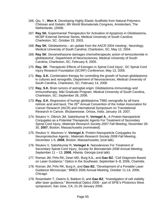- 166. Qiu, Y., **Wen X**. Developing Highly Elastic Scaffolds from Natural Polymers: Chitosan and Gelatin; 8th World Biomaterials Congress, Amsterdam, The Netherlands, (2008)
- 167. **Ray SK.** Experimental Therapeutics for Activation of Apoptosis in Glioblastoma, MCBP External Seminar Series, Medical University of South Carolina; Charleston, SC, October 23, 2003.
- 168. **Ray SK**. Glioblastoma an update from the AACR 2004 meeting', Neurology, Medical University of South Carolina; Charleston, SC, May 12, 2004.
- 169. **Ray SK**. Dexamethasone damages chemotherapeutic action of temozolomide in glioblastoma', Department of Neurosciences, Medical University of South Carolina; Charleston, SC, February 8, 2005.
- 170. **Ray, SK**. Therapeutic Effects of Estrogen in Spinal Cord Injury', SC Spinal Cord Injury Research Foundation (SCIRF) Conference; May 13, 2005.
- 171. **Ray, S.K.** Combination therapy for controlling the growth of human glioblastoma in cultures and xenografts, Department of Neurosciences, Medical University of South Carolina, Charleston, SC; February 14, 2006.
- 172. **Ray, S.K.** Brain tumors of astroglial origin: Glioblastoma immunology and immunotherapy, M&I Graduate Program, Medical University of South Carolina, Charleston, SC; September 28, 2006.
- 173. **Ray, S.K.** Regression of human glioblastoma T98G xenografts by all-trans retinoic acid and taxol, The 26<sup>th</sup> Annual Convention of the Indian Association for Cancer Research (IACR) and International Symposium on Translational Research in Cancer, Bhubaneswar, Orissa, India; January 19, 2007.
- 174. Reukov V, Olbrich JM, Satishkumar R, **Vertegel A**., A Protein-Nanoparticle Conjugates as a Potential Therapeutic Agents For Treatment of Secondary Spinal Cord Injury, *Materials Research Society 2007 Fall Meeting*, November 26- 30, **2007**, Boston, Massachusetts (*nominated*).
- 175. Reukov V, Maximov V, **Vertegel A**. Protein-Nanoparticle Conjugates As Neuroprotective Agents.; *Materials Research Society 2008 Fall Meeting*, December 1-5, **2008**, Boston, Massachusetts; (oral talk).
- 176. Reukov V, Satishkumar R, **Vertegel A**. Nanodevices For Treatment of Secondary Spinal Cord Injury, *Society for Biomaterials 2008 Annual Meeting,*  September 11 – 13, **2008***,* Atlanta, Georgia (oral talk).
- 177. Roman JM, Pirlo RK, Dean MD, Burg KJL, and **Gao BZ.** "Cell Diagnosis Based on Laser Guidance," Optics in the Southeast, September 6–8, 2006, Charlotte.
- 178. Roman JM, Pirlo RK, Burg K, and **Gao BZ.** "Development of a Portable Laser Guidance Microscope," BMES 2006 Annual Meeting, October 11-14, 2006, Chicago
- 179. Rosenbalm T, Owens S, Bakken D, and **Gao BZ**, "Investigation of cell viability after laser guidance," Biomedical Optics 2006 - part of SPIE's Photonics West symposium, San Jose, CA; 21-26 January 2006.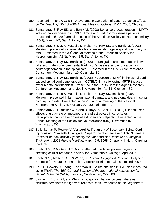- 180. Rosenbalm T and **Gao BZ.** "A Systematic Evaluation of Laser Guidance Effects on Cell Viability," BMES 2006 Annual Meeting, October 11-14, 2006, Chicago.
- 181. Samantaray S, **Ray SK**, and Banik NL (2008) Spinal cord degeneration in MPTPinduced parkinsonism in C57BL/6N mice and Parkinson's disease patients. Presented in the 39<sup>th</sup> annual meeting of the American Society for Neurochemistry (ASN), March 1-5, San Antonio, TX.
- 182. Samantaray S, Das A, Matzelle D, Reiter RJ, **Ray SK,** and Banik NL (2008) Melatonin prevented neuronal death and axonal damage in spinal cord injury in rats. Presented in the 39<sup>th</sup> annual meeting of the American Society for Neurochemistry (ASN), March 1-5, San Antonio, TX.
- 183. Samantaray S, **Ray SK**, Banik NL (2008) Extranigral neurodegeneration in two different models of experimental Parkinson's disease: a role for calpain in neurodegeneration in the spinal cord. Presented in the GA/SC Neuroscience Consortium Meeting, March 29, Columbia, SC.
- 184. Samantaray S, Ray SK, Banik NL (2008) Production of MPP<sup>+</sup> in the spinal cord caused spinal cord degeneration in C57BL/6N mice following MPTP-induced experimental parkinsonism. Presented in the South Carolina Aging Research Conference: Movement and Mobility, March 30 –April 1, Clemson, SC.
- 185. Samantaray S, Das A, Matzelle D, Reiter RJ, **Ray SK**, Banik NL (2008) Melatonin prevented inflammation, axonal damage, and neuronal death in spinal cord injury in rats. Presented in the  $26<sup>th</sup>$  annual meeting of the National Neurotrauma Society (NNS), July 27 - 30, Orlando, FL.
- 186. Samantaray S, Branstiter W, Cobb D, **Ray SK**, Banik NL (2008) Bimodal toxic effects of glutamate on motoneurons and astrocytes in co-cultures: Neuroprotection with low doses of estrogen and calpeptin. Presented in the Annual Meeting of the Society for Neuroscience (SfN), November 15-19, Washington, DC.
- 187. Satishkumar R, Reukov V, **Vertegel A**. Treatment of Secondary Spinal Cord Injury using Covalently Conjugated Superoxide dismutase and Anti Glutamate Receptor on poly (butyl) Cyanoacrylate Nanoparticles, *Institute of Biological Engineering 2008 Annual Meeting*, March 6-9, **2008**, Chapel Hill, North Carolina (oral talk).
- 188. Shah, N.M., & Metters, A.T. Micropatterned interfacial polymer layers for directing cellular response. Society for Biomaterials, Chicago, April 2007.
- 189. Shah, N.M., Metters, A.T. & Webb, K. Protein Conjugated Patterned Polymer Surfaces for Neural Regeneration. Society for Biomaterials, submitted 2009.
- 190. Shi CC, Bowers C, Zhang L, and **Yao H**. Solute diffusion in TMJ disc measured using FRAP. *The 86th General Session of the International Association for Dental Research (IADR)*, Toronto, Canada, July 2-5, 2008.
- 191. Sinclair K, Brown PJ, and **Webb K**. Capillary channel polymer fibers as structural templates for ligament reconstruction. Presented at the Regenerate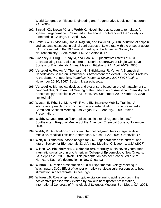World Congress on Tissue Engineering and Regenerative Medicine, Pittsburgh, PA (2006).

- 192. Sinclair KD, Brown PJ, and **Webb K**. Novel fibers as structural templates for ligament regeneration. Presented at the annual conference of the Society for Biomaterials. Chicago, IL: April 2007.
- 193. Smith AW, Guyton MK, Das A**, Ray SK,** and Banik NL (2008) Induction of calpain and caspase cascades in spinal cord tissues of Lewis rats with the onset of acute EAE. Presented in the 39<sup>th</sup> annual meeting of the American Society for Neurochemistry (ASN), March 1-5, San Antonio, TX.
- 194. Sweeney A, Burg K, Kindy M, and Gao BZ, "Quantitative Effects of NGF Encapsulating PLGA Microsphere on Neurite Outgrowth at Single Cell Level," Society for Biomaterials Annual Meeting, Pittsburg, PA, April 26-29, 2006.
- 195. **Vertegel A**, Reukov V, Thompson G, Satishkumar R, Yurko Y. Biomedical Nanodevices Based on Simultaneous Attachment of Several Functional Proteins to the Same Nanoparticle, *Materials Research Society 2007 Fall Meeting*, November 26-30, **2007**, Boston, Massachusetts.
- 196. **Vertegel A**. Biomedical devices and biosensors based on protein attachment to nanoparticles, 35th Annual Meeting of the Federation of Analytical Chemistry and Spectroscopy Societies (FACSS), Reno, NV, September 29 – October 2, **2008** (invited talk).
- 197. Watson E, **Fritz SL,** Merlo AR, Rivers ED. Intensive Mobility Training: An intensive approach to chronic neurological rehabilitation. To be presented at Combined Sections Meeting, Las Vegas, NV. February, 2009. Poster Presentation.
- 198. Webb, K. Deep groove fiber applications in axonal regeneration. 56<sup>th</sup> Southeastern Regional Meeting of the American Chemical Society; November 2004.
- 199. **Webb, K**. Applications of capillary channel polymer fibers in regenerative medicine. Medical Textiles Conferences, March 21-22, 2006, Greenville, SC.
- 200. **Wen, X**. Biomaterial-based bridges for CNS regeneration: past, current, and future; Society for Biomaterials 33rd Annual Meeting, Chicago, IL, USA (2007)
- 201. Wilson DA, **Pickelsimer EE, Selassie AW**. Mortality within seven years after traumatic spinal cord injury. American College of Epidemiology; New Orleans, LA, Sept 17-20, 2005. (Note: This presentation has been cancelled due to Hurricane Katrina's destruction in New Orleans.)
- 202. **Wilson LB.** Poster presentation at 2004 Experimental Biology Meeting in Washington, D.C.: Effect of gender on reflex cardiovascular responses to heat stimulation in decerebrate Guinea Pigs.
- 203. **Wilson LB.** Role of spinal ionotropic excitatory amino acid receptors in the nociceptive pressor reflex evoked by noxious heat (poster presentation). International Congress of Physiological Sciences Meeting; San Diego, CA, 2005.